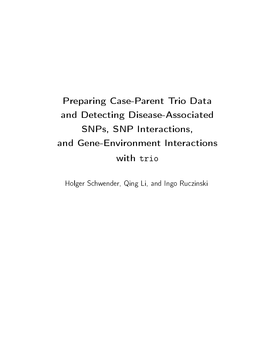# Preparing Case-Parent Trio Data and Detecting Disease-Associated SNPs, SNP Interactions, and Gene-Environment Interactions with trio

Holger Schwender, Qing Li, and Ingo Ruczinski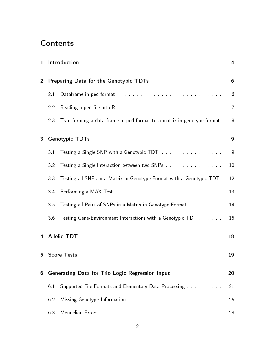# Contents

| $\mathbf{1}$   |                | Introduction                                                                                                   | 4               |
|----------------|----------------|----------------------------------------------------------------------------------------------------------------|-----------------|
| $\overline{2}$ |                | Preparing Data for the Genotypic TDTs                                                                          | $6\phantom{1}6$ |
|                | 2.1            |                                                                                                                | 6               |
|                | 2.2            | Reading a ped file into R and a contract of the contract of the contract of                                    | $\overline{I}$  |
|                | 23             | Transforming a data frame in ped format to a matrix in genotype format                                         | 8               |
| 3              |                | <b>Genotypic TDTs</b>                                                                                          | 9               |
|                | 3 <sub>1</sub> | Testing a Single SNP with a Genotypic TDT                                                                      | 9               |
|                | 3.2            | Testing a Single Interaction between two SNPs                                                                  | 10              |
|                | 3.3            | Testing all SNPs in a Matrix in Genotype Format with a Genotypic TDT                                           | 12              |
|                | 3.4            | Performing a MAX Test research and containing a maximum and containing a maximum and containing a set of the s | 13              |
|                | 35             |                                                                                                                | 14              |
|                | 3.6            |                                                                                                                | 15              |
|                |                | 4 Allelic TDT                                                                                                  | 18              |
| 5              |                | <b>Score Tests</b>                                                                                             | 19              |
| 6              |                | Generating Data for Trio Logic Regression Input                                                                | 20              |
|                | 6.1            | Supported File Formats and Elementary Data Processing Theoretic Lines                                          | 21              |
|                | 6.2            |                                                                                                                | 25              |
|                | 6.3            |                                                                                                                | 28              |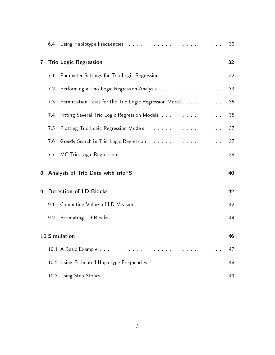|              | 64  | Using Haplotype Frequencies and a contract the contract of the state of the state of the state of the state of                                                                                                                 | 30 |
|--------------|-----|--------------------------------------------------------------------------------------------------------------------------------------------------------------------------------------------------------------------------------|----|
| $\mathbf{7}$ |     | <b>Trio Logic Regression</b>                                                                                                                                                                                                   | 32 |
|              | 7.1 |                                                                                                                                                                                                                                | 32 |
|              | 7.2 | Performing a Trio Logic Regression Analysis and a contract the contract of                                                                                                                                                     | 33 |
|              | 73  | Permutation Tests for the Trio Logic Regression Model                                                                                                                                                                          | 35 |
|              | 74  | Fitting Several Trio Logic Regression Models Alberta Alberta Alberta and Trio Lorentz                                                                                                                                          | 35 |
|              | 75  | Plotting Trio Logic Regression Models and annual contract the contract of                                                                                                                                                      | 37 |
|              | 76  |                                                                                                                                                                                                                                | 37 |
|              | 77  | MC Trio Logic Regression and a contract the contract of the contract of the MC Trio Logic                                                                                                                                      | 38 |
| 8            |     | Analysis of Trio Data with trioFS                                                                                                                                                                                              | 40 |
| 9            |     | <b>Detection of LD Blocks</b>                                                                                                                                                                                                  | 42 |
|              | 91  | Computing Values of LD Measures and a contract the contract of the Computing Values of LD Measures and a contract the contract of                                                                                              | 42 |
|              | 92  | Estimating LD Blocks (Fig. 1991) and a state of the state of the Block of the state of the Block of the State of the Block                                                                                                     | 44 |
|              |     | 10 Simulation                                                                                                                                                                                                                  | 46 |
|              |     |                                                                                                                                                                                                                                | 47 |
|              |     |                                                                                                                                                                                                                                | 48 |
|              |     | 10.3 Using Step-Stones with a contract the contract of the contract of the contract of the contract of the contract of the contract of the contract of the contract of the contract of the contract of the contract of the con | 49 |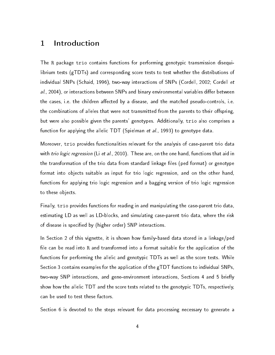## <span id="page-3-0"></span>1 Introduction

The R package trio contains functions for performing genotypic transmission disequilibrium tests (gTDTs) and corresponding score tests to test whether the distributions of individual SNPs [\(Schaid,](#page-50-0) [1996\)](#page-50-0), two-way interactions of SNPs [\(Cordell,](#page-50-1) [2002;](#page-50-1) [Cordell](#page-50-2) et  $al.$ , [2004\)](#page-50-2), or interactions between SNPs and binary environmental variables differ between the cases, i.e. the children affected by a disease, and the matched pseudo-controls, i.e. the combinations of alleles that were not transmitted from the parents to their offspring, but were also possible given the parents' genotypes. Additionally, trio also comprises a function for applying the allelic TDT [\(Spielman](#page-51-0) et al., [1993\)](#page-51-0) to genotype data.

Moreover, trio provides functionalities relevant for the analysis of case-parent trio data with *trio logic regression* (Li [et al.,](#page-50-3) [2010\)](#page-50-3). These are, on the one hand, functions that aid in the transformation of the trio data from standard linkage files (ped format) or genotype format into objects suitable as input for trio logic regression, and on the other hand, functions for applying trio logic regression and a bagging version of trio logic regression to these objects.

Finally, trio provides functions for reading in and manipulating the case-parent trio data, estimating LD as well as LD-blocks, and simulating case-parent trio data, where the risk of disease is specified by (higher order) SNP interactions.

In Section [2](#page-5-0) of this vignette, it is shown how family-based data stored in a linkage/ped file can be read into R and transformed into a format suitable for the application of the functions for performing the allelic and genotypic TDTs as well as the score tests. While Section [3](#page-8-0) contains examples for the application of the gTDT functions to individual SNPs, two-way SNP interactions, and gene-environment interactions, Sections [4](#page-17-0) and [5](#page-18-0) briefly show how the allelic TDT and the score tests related to the genotypic TDTs, respectively, can be used to test these factors.

Section [6](#page-19-0) is devoted to the steps relevant for data processing necessary to generate a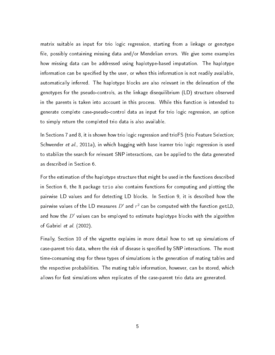matrix suitable as input for trio logic regression, starting from a linkage or genotype file, possibly containing missing data and/or Mendelian errors. We give some examples how missing data can be addressed using haplotype-based imputation. The haplotype information can be specified by the user, or when this information is not readily available, automatically inferred. The haplotype blocks are also relevant in the delineation of the genotypes for the pseudo-controls, as the linkage disequilibrium (LD) structure observed in the parents is taken into account in this process. While this function is intended to generate complete case-pseudo-control data as input for trio logic regression, an option to simply return the completed trio data is also available.

In Sections [7](#page-31-0) and [8,](#page-39-0) it is shown how trio logic regression and trioFS (trio Feature Selection; [Schwender](#page-51-1) et al., [2011a\)](#page-51-1), in which bagging with base learner trio logic regression is used to stabilize the search for relevant SNP interactions, can be applied to the data generated as described in Section [6.](#page-19-0)

For the estimation of the haplotype structure that might be used in the functions described in Section [6,](#page-19-0) the R package trio also contains functions for computing and plotting the pairwise LD values and for detecting LD blocks. In Section [9,](#page-41-0) it is described how the pairwise values of the LD measures  $D^{\prime}$  and  $r^{2}$  can be computed with the function getLD, and how the  $D^{\prime}$  values can be employed to estimate haplotype blocks with the algorithm of [Gabriel](#page-50-4) et al. [\(2002\)](#page-50-4).

Finally, Section [10](#page-45-0) of the vignette explains in more detail how to set up simulations of case-parent trio data, where the risk of disease is specified by SNP interactions. The most time-consuming step for these types of simulations is the generation of mating tables and the respective probabilities. The mating table information, however, can be stored, which allows for fast simulations when replicates of the case-parent trio data are generated.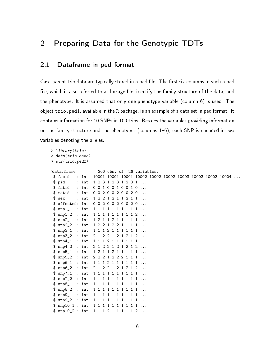# <span id="page-5-0"></span>2 Preparing Data for the Genotypic TDTs

#### <span id="page-5-1"></span>2.1 Dataframe in ped format

Case-parent trio data are typically stored in a ped file. The first six columns in such a ped file, which is also referred to as linkage file, identify the family structure of the data, and the phenotype. It is assumed that only one phenotype variable (column 6) is used. The object trio.ped1, available in the R package, is an example of a data set in ped format. It contains information for 10 SNPs in 100 trios. Besides the variables providing information on the family structure and the phenotypes (columns  $1-6$ ), each SNP is encoded in two variables denoting the alleles.

```
> library(trio)
> data(trio.data)
> str(trio.ped1)
'data.frame': 300 obs. of 26 variables:
$ famid : int 10001 10001 10001 10002 10002 10002 10003 10003 10003 10004 ...
$ pid : int 1 2 3 1 2 3 1 2 3 1 ...
$ fatid : int 0 0 1 0 0 1 0 0 1 0 ...
$ motid : int 00200200020...
$ sex : int 1 2 2 1 2 1 1 2 1 1 ...
 $ affected: int 0 0 2 0 0 2 0 0 2 0 ...
 $ snp1_1 : int 1 1 1 1 1 1 1 1 1 1 ...
 $ snp1_2 : int 1 1 1 1 1 1 1 1 1 2 ...
 $ snp2_1 : int 1 2 1 1 2 1 1 1 1 1 ...
 $ snp2_2 : int 1 2 2 1 2 2 1 1 1 1 ...
 $ snp3_1 : int 1 1 1 2 1 1 1 1 1 1 ...
 $ snp3_2 : int 2 1 2 2 1 2 1 2 1 2 ...
 $ snp4_1 : int 1 1 1 2 1 1 1 1 1 1 ...
 $ snp4_2 : int 2 1 2 2 1 2 1 2 1 2 ...
 $ snp5_1 : int 1 2 1 1 2 1 1 1 1 1 ...
 $ snp5_2 : int 2 2 2 1 2 2 2 1 1 1 ...
 $ snp6_1 : int 1 1 1 2 1 1 1 1 1 1 ...
 $ snp6_2 : int 2 1 2 2 1 2 1 2 1 2 ...
 $ snp7_1 : int 1 1 1 1 1 1 1 1 1 1 ...
 $ snp7_2 : int 1 1 1 1 1 1 1 1 1 1 ...
 $ snp8_1 : int 1 1 1 1 1 1 1 1 1 1 ...
 $ snp8_2 : int 1 1 1 1 1 1 1 1 1 1 ...
 $ snp9_1 : int 1 1 1 1 1 1 1 1 1 1 ...
 $ snp9_2 : int 1 1 1 1 1 1 1 1 1 1 ...
 $ snp10_1 : int 1 1 1 1 1 1 1 1 1 1 ...
 $ snp10_2 : int 1 1 1 2 1 1 1 1 1 2 ...
```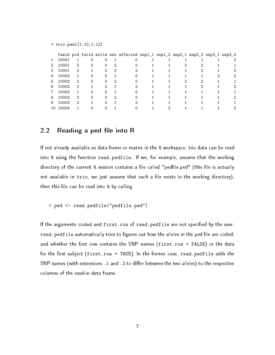> trio.ped1[1:10,1:12]

|   |       |   |   |   | famid pid fatid motid sex affected snp1_1 snp1_2 snp2_1 snp2_2 snp3_1 snp3_2 |  |  |  |
|---|-------|---|---|---|------------------------------------------------------------------------------|--|--|--|
| 1 | 10001 |   |   |   |                                                                              |  |  |  |
| 2 | 10001 | 2 | 0 |   |                                                                              |  |  |  |
| 3 | 10001 | 3 |   | 2 |                                                                              |  |  |  |
| 4 | 10002 |   | ი |   |                                                                              |  |  |  |
| 5 | 10002 | 2 | 0 |   |                                                                              |  |  |  |
| 6 | 10002 | 3 |   |   |                                                                              |  |  |  |
| 7 | 10003 |   | ი |   |                                                                              |  |  |  |
| 8 | 10003 | 2 | 0 |   |                                                                              |  |  |  |
| 9 | 10003 | 3 |   |   |                                                                              |  |  |  |
|   | 10004 |   |   |   |                                                                              |  |  |  |
|   |       |   |   |   |                                                                              |  |  |  |

#### <span id="page-6-0"></span>2.2 Reading a ped file into R

If not already available as data frame or matrix in the R workspace, trio data can be read into R using the function read.pedfile. If we, for example, assume that the working directory of the current R session contains a file called "pedfile.ped" (this file is actually not available in trio, we just assume that such a file exists in the working directory), then this file can be read into R by calling

> ped <- read.pedfile("pedfile.ped")

If the arguments coded and first.row of read.pedfile are not specified by the user, read.pedfile automatically tries to figures out how the alleles in the ped file are coded, and whether the first row contains the SNP names  $(first(row = FALSE)$  or the data for the first subject (first.row = TRUE). In the former case, read.pedfile adds the SNP names (with extensions  $.1$  and  $.2$  to differ between the two alleles) to the respective columns of the read-in data frame.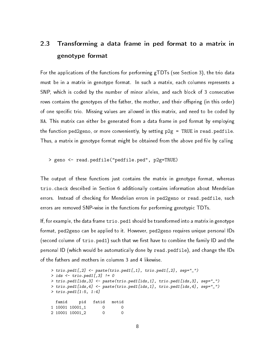# <span id="page-7-0"></span>2.3 Transforming a data frame in ped format to a matrix in genotype format

For the applications of the functions for performing gTDTs (see Section [3\)](#page-8-0), the trio data must be in a matrix in genotype format. In such a matrix, each columns represents a SNP, which is coded by the number of minor alleles, and each block of 3 consecutive rows contains the genotypes of the father, the mother, and their offspring (in this order) of one specific trio. Missing values are allowed in this matrix, and need to be coded by NA. This matrix can either be generated from a data frame in ped format by employing the function ped2geno, or more conveniently, by setting  $p2g = TRUE$  in read.pedfile. Thus, a matrix in genotype format might be obtained from the above ped file by calling

#### > geno <- read.pedfile("pedfile.ped", p2g=TRUE)

The output of these functions just contains the matrix in genotype format, whereas trio.check described in Section [6](#page-19-0) additionally contains information about Mendelian errors. Instead of checking for Mendelian errors in ped2geno or read.pedfile, such errors are removed SNP-wise in the functions for performing genotypic TDTs.

If, for example, the data frame trio.ped1 should be transformed into a matrix in genotype format, ped2geno can be applied to it. However, ped2geno requires unique personal IDs (second column of trio.ped1) such that we first have to combine the family ID and the personal ID (which would be automatically done by read.pedfile), and change the IDs of the fathers and mothers in columns 3 and 4 likewise.

```
> trio.ped1[,2] <- paste(trio.ped1[,1], trio.ped1[,2], sep="_")
> ids \le trio.ped1[,3] != 0
> trio.ped1[ids,3] <- paste(trio.ped1[ids,1], trio.ped1[ids,3], sep="_")
> trio.ped1[ids,4] <- paste(trio.ped1[ids,1], trio.ped1[ids,4], sep="_")
> trio.ped1[1:5, 1:4]
 famid pid fatid motid
1 10001 10001 1 0 0
2 10001 10001_2 0 0
```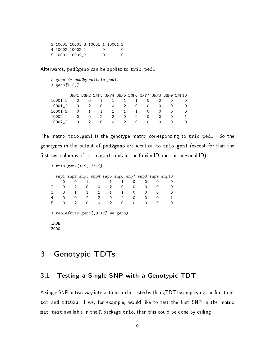3 10001 10001\_3 10001\_1 10001\_2 4 10002 10002\_1 0 0 5 10002 10002\_2 0 0

Afterwards, ped2geno can be applied to trio.ped1

```
> geno <- ped2geno(trio.ped1)
> geno[1:5,]
```

|         |          |             |                         |          |             |                     |               |                  | SNP1 SNP2 SNP3 SNP4 SNP5 SNP6 SNP7 SNP8 SNP9 SNP10 |
|---------|----------|-------------|-------------------------|----------|-------------|---------------------|---------------|------------------|----------------------------------------------------|
| 10001 1 |          |             | 0 0 1 1 1 1             |          |             |                     | $\Omega$      |                  |                                                    |
| 10001 2 |          | $0\qquad 2$ |                         | $\Omega$ |             | $0 \quad 2 \quad 0$ | $\Omega$      | $\Omega$         |                                                    |
| 10001 3 |          | $0 \quad 1$ |                         |          |             | 1 1 1 1             | $\Omega$      | $\Omega$         |                                                    |
| 10002 1 |          |             | 0 0 2 2                 |          |             | $\overline{O}$      | 2<br>$\Omega$ | $\Omega$         |                                                    |
| 10002 2 | $\Omega$ |             | $2^{\circ}$<br>$\Omega$ |          | $0 \quad 2$ | $\Omega$            | $\Omega$      | $\left( \right)$ |                                                    |

The matrix trio.gen1 is the genotype matrix corresponding to trio.ped1. So the genotypes in the output of ped2geno are identical to trio.gen1 (except for that the first two columns of trio.gen1 contain the family ID and the personal ID).

```
> trio.gen1[1:5, 3:12]
```

|   |          |          |          |   |   |   |          |          |          | snp1 snp2 snp3 snp4 snp5 snp6 snp7 snp8 snp9 snp10 |
|---|----------|----------|----------|---|---|---|----------|----------|----------|----------------------------------------------------|
|   |          |          |          |   |   |   | O)       |          |          |                                                    |
| 2 |          |          |          | 0 | 2 | 0 | O        |          |          |                                                    |
| 3 |          |          |          | 1 | 1 |   | 0        | $\Omega$ |          |                                                    |
| 4 |          | $\Omega$ |          | 2 | 0 | 2 | $\Omega$ | $\Omega$ | $\Omega$ |                                                    |
| 5 | $\Omega$ | 2        | $\Omega$ | 0 | 2 | 0 | O        | $\Omega$ | $\Omega$ |                                                    |
|   |          |          |          |   |   |   |          |          |          |                                                    |

 $>$  table(trio.gen1[,3:12] == geno)

TRUE 3000

### <span id="page-8-0"></span>3 Genotypic TDTs

#### <span id="page-8-1"></span>3.1 Testing a Single SNP with a Genotypic TDT

A single SNP or two-way interaction can be tested with a gTDT by employing the functions tdt and tdtGxG. If we, for example, would like to test the first SNP in the matrix mat.test available in the R package trio, then this could be done by calling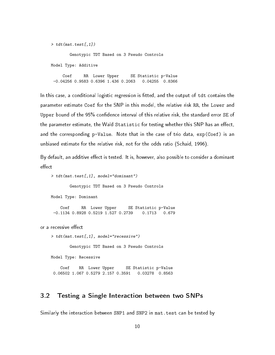```
> tdt(mat.test[,1])
       Genotypic TDT Based on 3 Pseudo Controls
Model Type: Additive
    Coef RR Lower Upper SE Statistic p-Value
 -0.04256 0.9583 0.6396 1.436 0.2063 0.04255 0.8366
```
In this case, a conditional logistic regression is fitted, and the output of tdt contains the parameter estimate Coef for the SNP in this model, the relative risk RR, the Lower and Upper bound of the 95% confidence interval of this relative risk, the standard error SE of the parameter estimate, the Wald Statistic for testing whether this SNP has an effect, and the corresponding p-Value. Note that in the case of trio data, exp(Coef) is an unbiased estimate for the relative risk, not for the odds ratio [\(Schaid,](#page-50-0) [1996\)](#page-50-0).

By default, an additive effect is tested. It is, however, also possible to consider a dominant effect

```
> tdt(mat.test[,1], model="dominant")
```
Genotypic TDT Based on 3 Pseudo Controls

```
Model Type: Dominant
```
Coef RR Lower Upper SE Statistic p-Value -0.1134 0.8928 0.5219 1.527 0.2739 0.1713 0.679

or a recessive effect

> tdt(mat.test[,1], model="recessive")

Genotypic TDT Based on 3 Pseudo Controls

Model Type: Recessive

Coef RR Lower Upper SE Statistic p-Value 0.06502 1.067 0.5279 2.157 0.3591 0.03278 0.8563

#### <span id="page-9-0"></span>3.2 Testing a Single Interaction between two SNPs

Similarly the interaction between SNP1 and SNP2 in mat.test can be tested by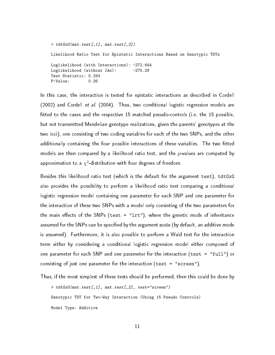```
> tdtGxG(mat.test[,1], mat.test[,2])
Likelihood Ratio Test for Epistatic Interactions Based on Genotypic TDTs
Loglikelihood (with Interactions): -272.644
Loglikelihood (without IAs): -275.29
Test Statistic: 5.293
P-Value: 0.26
```
In this case, the interaction is tested for epistatic interactions as described in [Cordell](#page-50-1) [\(2002\)](#page-50-1) and [Cordell](#page-50-2) et al. [\(2004\)](#page-50-2). Thus, two conditional logistic regression models are tted to the cases and the respective 15 matched pseudo-controls (i.e. the 15 possible, but not transmitted Mendelian genotype realizations, given the parents' genotypes at the two loci), one consisting of two coding variables for each of the two SNPs, and the other additionally containing the four possible interactions of these variables. The two fitted models are then compared by a likelihood ratio test, and the  $p$ -values are computed by approximation to a  $\chi^2$ -distribution with four degrees of freedom.

Besides this likelihood ratio test (which is the default for the argument test), tdtGxG also provides the possibility to perform a likelihood ratio test comparing a conditional logistic regression model containing one parameter for each SNP and one parameter for the interaction of these two SNPs with a model only consisting of the two parameters for the main effects of the SNPs (test = " $l$ rt"), where the genetic mode of inheritance assumed for the SNPs can be specified by the argument mode (by default, an additive mode is assumed). Furthermore, it is also possible to perform a Wald test for the interaction term either by considering a conditional logistic regression model either composed of one parameter for each SNP and one parameter for the interaction (test = "full") or consisting of just one parameter for the interaction (test = "screen").

Thus, if the most simplest of these tests should be performed, then this could be done by

> tdtGxG(mat.test[,1], mat.test[,2], test="screen") Genotypic TDT for Two-Way Interaction (Using 15 Pseudo Controls) Model Type: Additive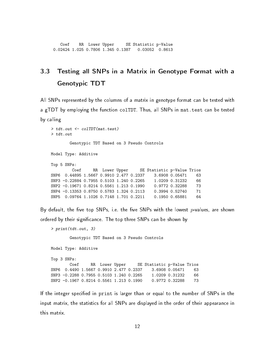Coef RR Lower Upper SE Statistic p-Value 0.02424 1.025 0.7806 1.345 0.1387 0.03052 0.8613

# <span id="page-11-0"></span>3.3 Testing all SNPs in a Matrix in Genotype Format with a Genotypic TDT

All SNPs represented by the columns of a matrix in genotype format can be tested with a gTDT by employing the function colTDT. Thus, all SNPs in mat.test can be tested by calling

```
> tdt.out <- colTDT(mat.test)
> tdt.out
       Genotypic TDT Based on 3 Pseudo Controls
Model Type: Additive
Top 5 SNPs:
        Coef RR Lower Upper SE Statistic p-Value Trios
SNP6  0.44895  1.5667  0.9910  2.477  0.2337  3.6908  0.05471  63
SNP3 -0.22884 0.7955 0.5103 1.240 0.2265 1.0209 0.31232 66
SNP2 -0.19671 0.8214 0.5561 1.213 0.1990 0.9772 0.32288 73
SNP4 -0.13353 0.8750 0.5783 1.324 0.2113 0.3994 0.52740 71
SNP5 0.09764 1.1026 0.7148 1.701 0.2211 0.1950 0.65881 64
```
By default, the five top SNPs, i.e. the five SNPs with the lowest p-values, are shown ordered by their significance. The top three SNPs can be shown by

```
> print(tdt.out, 3)
       Genotypic TDT Based on 3 Pseudo Controls
Model Type: Additive
Top 3 SNPs:
       Coef RR Lower Upper SE Statistic p-Value Trios
SNP6 0.4490 1.5667 0.9910 2.477 0.2337 3.6908 0.05471 63
SNP3 -0.2288 0.7955 0.5103 1.240 0.2265 1.0209 0.31232 66
SNP2 -0.1967 0.8214 0.5561 1.213 0.1990 0.9772 0.32288 73
```
If the integer specified in print is larger than or equal to the number of SNPs in the input matrix, the statistics for all SNPs are displayed in the order of their appearance in this matrix.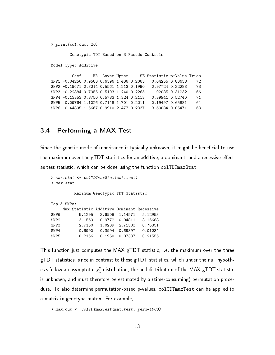```
> print(tdt.out, 10)
```
Genotypic TDT Based on 3 Pseudo Controls

Model Type: Additive

Coef RR Lower Upper SE Statistic p-Value Trios SNP1 -0.04256 0.9583 0.6396 1.436 0.2063 0.04255 0.83658 72 SNP2 -0.19671 0.8214 0.5561 1.213 0.1990 0.97724 0.32288 73 SNP3 -0.22884 0.7955 0.5103 1.240 0.2265 1.02085 0.31232 66 SNP4 -0.13353 0.8750 0.5783 1.324 0.2113 0.39941 0.52740 71 SNP5 0.09764 1.1026 0.7148 1.701 0.2211 0.19497 0.65881 64 SNP6 0.44895 1.5667 0.9910 2.477 0.2337 3.69084 0.05471 63

#### <span id="page-12-0"></span>3.4 Performing a MAX Test

Since the genetic mode of inheritance is typically unknown, it might be beneficial to use the maximum over the gTDT statistics for an additive, a dominant, and a recessive effect as test statistic, which can be done using the function colTDTmaxStat

```
> max.stat <- colTDTmaxStat(mat.test)
> max.stat
         Maximum Genotypic TDT Statistic
Top 5 SNPs:
    Max-Statistic Additive Dominant Recessive
SNP6 5.1295 3.6908 1.14571 5.12953<br>SNP2 3.1569 0.9772 0.04811 3.15688
SNP2 3.1569 0.9772 0.04811 3.15688
SNP3 2.7150 1.0209 2.71503 0.76851
SNP4 0.6990 0.3994 0.69897 0.01234
SNP5 0.2156 0.1950 0.07337 0.21555
```
This function just computes the MAX gTDT statistic, i.e. the maximum over the three gTDT statistics, since in contrast to these gTDT statistics, which under the null hypothesis follow an asymptotic  $\chi_1^2$ -distribution, the null distribution of the MAX gTDT statistic is unknown, and must therefore be estimated by a (time-consuming) permutation procedure. To also determine permutation-based p-values, colTDTmaxTest can be applied to a matrix in genotype matrix. For example,

```
> max.out <- colTDTmaxTest(mat.test, perm=1000)
```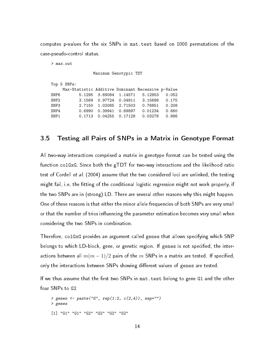computes p-values for the six SNPs in mat.test based on 1000 permutations of the case-pseudo-control status.

> max.out

Maximum Genotypic TDT

|      | Top 5 SNPs: |                        |                                                   |  |
|------|-------------|------------------------|---------------------------------------------------|--|
|      |             |                        | Max-Statistic Additive Dominant Recessive p-Value |  |
| SNP6 |             |                        | 5.1295 3.69084 1.14571 5.12953 0.052              |  |
| SNP2 |             |                        | 3.1569   0.97724   0.04811   3.15688   0.175      |  |
| SNP3 |             | 2.7150 1.02085 2.71503 |                                                   |  |
| SNP4 |             |                        | 0.6990 0.39941 0.69897 0.01234 0.660              |  |
| SNP1 |             |                        | 0.1713 0.04255 0.17128 0.03278 0.886              |  |
|      |             |                        |                                                   |  |

#### <span id="page-13-0"></span>3.5 Testing all Pairs of SNPs in a Matrix in Genotype Format

All two-way interactions comprised a matrix in genotype format can be tested using the function colGxG. Since both the gTDT for two-way interactions and the likelihood ratio test of [Cordell](#page-50-2) et al. [\(2004\)](#page-50-2) assume that the two considered loci are unlinked, the testing might fail, i.e. the fitting of the conditional logistic regression might not work properly, if the two SNPs are in (strong) LD. There are several other reasons why this might happen. One of these reasons is that either the minor allele frequencies of both SNPs are very small or that the number of trios influencing the parameter estimation becomes very small when considering the two SNPs in combination.

Therefore, colGxG provides an argument called genes that allows specifying which SNP belongs to which LD-block, gene, or genetic region. If genes is not specified, the interactions between all  $m(m-1)/2$  pairs of the  $m$  SNPs in a matrix are tested. If specified, only the interactions between SNPs showing different values of genes are tested.

If we thus assume that the first two SNPs in mat. test belong to gene G1 and the other four SNPs to G2

```
> genes <- paste("G", rep(1:2, c(2,4)), sep="")> genes
[1] "G1" "G1" "G2" "G2" "G2" "G2"
```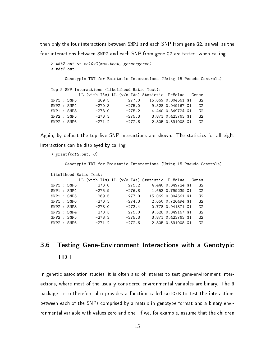then only the four interactions between SNP1 and each SNP from gene G2, as well as the four interactions between SNP2 and each SNP from gene G2 are tested, when calling

```
> tdt2.out <- colGxG(mat.test, genes=genes)
> tdt2.out
     Genotypic TDT for Epistatic Interactions (Using 15 Pseudo Controls)
Top 5 SNP Interactions (Likelihood Ratio Test):
         LL (with IAs) LL (w/o IAs) Statistic P-Value Genes
SNP1 : SNP5 -269.5 -277.0 15.069 0.004561 G1 : G2
SNP2 : SNP4 -270.3 -275.0 9.528 0.049167 G1 : G2
SNP1 : SNP3 -273.0 -275.2 4.440 0.349724 G1 : G2
SNP2 : SNP5 -273.3 -275.3 3.871 0.423763 G1 : G2
SNP2 : SNP6 -271.2 -272.6 2.805 0.591008 G1 : G2
```
Again, by default the top five SNP interactions are shown. The statistics for all eight interactions can be displayed by calling

> print(tdt2.out, 8)

Genotypic TDT for Epistatic Interactions (Using 15 Pseudo Controls)

```
Likelihood Ratio Test:
```

|  |                             | LL (with IAs) LL (w/o IAs) Statistic P-Value |          |  |          |  |                          |  | Genes |
|--|-----------------------------|----------------------------------------------|----------|--|----------|--|--------------------------|--|-------|
|  | ${\tt SNP1}$ : ${\tt SNP3}$ |                                              | $-273.0$ |  | $-275.2$ |  | 4.440 0.349724 G1 : G2   |  |       |
|  | SNP1 : SNP4                 |                                              | $-275.9$ |  | $-276.8$ |  | $1.653$ 0.799239 G1 : G2 |  |       |
|  | SNP1 : SNP5                 |                                              | $-269.5$ |  | $-277.0$ |  | 15.069 0.004561 G1 : G2  |  |       |
|  | SNP1 : SNP6                 |                                              | $-273.3$ |  | $-274.3$ |  | $2.050$ 0.726494 G1 : G2 |  |       |
|  | SNP2 : SNP3                 |                                              | $-273.0$ |  | $-273.4$ |  | $0.778$ 0.941371 G1 : G2 |  |       |
|  | SNP2 : SNP4                 |                                              | $-270.3$ |  | $-275.0$ |  | $9.528$ 0.049167 G1 : G2 |  |       |
|  | SNP2 : SNP5                 |                                              | $-273.3$ |  | $-275.3$ |  | 3.871 0.423763 G1 : G2   |  |       |
|  | SNP2 : SNP6                 |                                              | $-271.2$ |  | $-272.6$ |  | $2.805$ 0.591008 G1 : G2 |  |       |

# <span id="page-14-0"></span>3.6 Testing Gene-Environment Interactions with a Genotypic TDT

In genetic association studies, it is often also of interest to test gene-environment interactions, where most of the usually considered environmental variables are binary. The R package trio therefore also provides a function called colGxE to test the interactions between each of the SNPs comprised by a matrix in genotype format and a binary environmental variable with values zero and one. If we, for example, assume that the children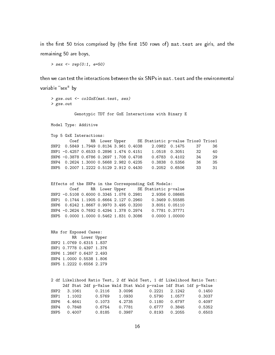in the first 50 trios comprised by (the first 150 rows of) mat.test are girls, and the remaining 50 are boys,

> sex <- rep(0:1, e=50)

then we can test the interactions between the six SNPs in mat.test and the environmental variable "sex" by

```
> gxe.out <- colGxE(mat.test, sex)
> gxe.out
```
Genotypic TDT for GxE Interactions with Binary E

Model Type: Additive

Top 5 GxE Interactions:

|                                         |  |  | Coef RR Lower Upper SE Statistic p-value Trios0 Trios1 |                       |      |      |
|-----------------------------------------|--|--|--------------------------------------------------------|-----------------------|------|------|
| SNP2 0.5849 1.7949 0.8134 3.961 0.4038  |  |  |                                                        | 2.0982 0.1475 37      |      | -36. |
| SNP1 -0.4257 0.6533 0.2896 1.474 0.4151 |  |  |                                                        | 1.0518 0.3051         | -32. | 40   |
| SNP6 -0.3878 0.6786 0.2697 1.708 0.4708 |  |  |                                                        | $0.6783$ $0.4102$     | .34  | 29   |
| SNP4 0.2624 1.3000 0.5668 2.982 0.4235  |  |  |                                                        | 0.3838 0.5356         | .36  | 35   |
| SNP5 0.2007 1.2222 0.5129 2.912 0.4430  |  |  |                                                        | $0.2052 \quad 0.6506$ | 33.  | 31   |

```
Effects of the SNPs in the Corresponding GxE Models:
       Coef RR Lower Upper SE Statistic p-value
SNP2 -0.5108 0.6000 0.3345 1.076 0.2981 2.9356 0.08665
SNP1  0.1744  1.1905  0.6664  2.127  0.2960  0.3469  0.55585
SNP6 0.6242 1.8667 0.9970 3.495 0.3200 3.8051 0.05110
SNP4 -0.2624 0.7692 0.4294 1.378 0.2974 0.7781 0.37771
SNP5  0.0000  1.0000  0.5462  1.831  0.3086  0.0000  1.00000
```
RRs for Exposed Cases: RR Lower Upper SNP2 1.0769 0.6315 1.837 SNP1 0.7778 0.4397 1.376 SNP6 1.2667 0.6437 2.493 SNP4 1.0000 0.5538 1.806 SNP5 1.2222 0.6556 2.279

2 df Likelihood Ratio Test, 2 df Wald Test, 1 df Likelihood Ratio Test: 2df Stat 2df p-Value Wald Stat Wald p-value 1df Stat 1df p-Value SNP2 3.1061 0.2116 3.0096 0.2221 2.1242 0.1450 SNP1 1.1002 0.5769 1.0930 0.5790 1.0577 0.3037 SNP6 4.4641 0.1073 4.2735 0.1180 0.6797 0.4097 SNP4 0.7848 0.6754 0.7781 0.6777 0.3845 0.5352 SNP5 0.4007 0.8185 0.3987 0.8193 0.2055 0.6503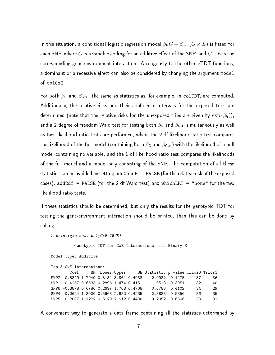In this situation, a conditional logistic regression model  $\beta_{\mathsf{G}}G + \beta_{\mathsf{GxE}}(G \times E)$  is fitted for each SNP, where  $G$  is a variable coding for an additive effect of the SNP, and  $G\times E$  is the corresponding gene-environment interaction. Analogously to the other gTDT functions, a dominant or a recessive effect can also be considered by changing the argument model of colGxE.

For both  $\beta_G$  and  $\beta_{GxE}$ , the same as statistics as, for example, in colTDT, are computed. Additionally, the relative risks and their confidence intervals for the exposed trios are determined (note that the relative risks for the unexposed trios are given by  $\exp{(\beta_{\text{G}})})$ , and a 2 degree of freedom Wald test for testing both  $\beta_{\mathsf{G}}$  and  $\beta_{\mathsf{GxE}}$  simultaneously as well as two likelihood ratio tests are performed, where the 2 df likelihood ratio test compares the likelihood of the full model (containing both  $\beta$ G and  $\beta_{\text{GxE}}$ ) with the likelihood of a null model containing no variable, and the 1 df likelihood ratio test compares the likelihoods of the full model and a model only consisting of the SNP. The computation of all these statistics can be avoided by setting addGandE = FALSE (for the relative risk of the exposed cases), add2df = FALSE (for the 2 df Wald test) and whichLRT = "none" for the two likelihood ratio tests.

If these statistics should be determined, but only the results for the genotypic TDT for testing the gene-environment interaction should be printed, then this can be done by calling

> print(gxe.out, onlyGxE=TRUE)

Genotypic TDT for GxE Interactions with Binary E

```
Model Type: Additive
```
Top 5 GxE Interactions: Coef RR Lower Upper SE Statistic p-value Trios0 Trios1 SNP2 0.5849 1.7949 0.8134 3.961 0.4038 2.0982 0.1475 37 36 SNP1 -0.4257 0.6533 0.2896 1.474 0.4151 1.0518 0.3051 32 40 SNP6 -0.3878 0.6786 0.2697 1.708 0.4708 0.6783 0.4102 34 29 SNP4 0.2624 1.3000 0.5668 2.982 0.4235 0.3838 0.5356 36 35 SNP5 0.2007 1.2222 0.5129 2.912 0.4430 0.2052 0.6506 33 31

A convenient way to generate a data frame containing all the statistics determined by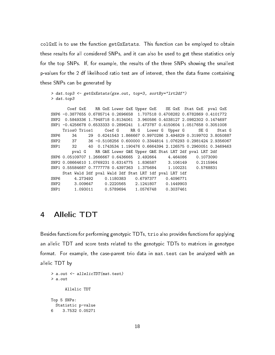colGxE is to use the function getGxEstats. This function can be employed to obtain these results for all considered SNPs, and it can also be used to get these statistics only for the top SNPs. If, for example, the results of the three SNPs showing the smallest p-values for the 2 df likelihood ratio test are of interest, then the data frame containing these SNPs can be generated by

```
> dat.top3 <- getGxEstats(gxe.out, top=3, sortBy="lrt2df")
> dat.top3
```
Coef GxE RR GxE Lower GxE Upper GxE SE GxE Stat GxE pval GxE SNP6 -0.3877655 0.6785714 0.2696658 1.707518 0.4708282 0.6782869 0.4101772 SNP2 0.5849336 1.7948718 0.8134061 3.960586 0.4038127 2.0982302 0.1474697 SNP1 -0.4256678 0.6533333 0.2896241 1.473787 0.4150604 1.0517658 0.3051008 Trios0 Trios1 Coef G RR G Lower G Upper G SE G Stat G SNP6 34 29 0.6241543 1.866667 0.9970286 3.494829 0.3199702 3.8050887 SNP2 37 36 -0.5108256 0.600000 0.3344814 1.076293 0.2981424 2.9356067 SNP1 32 40 0.1743534 1.190476 0.6664394 2.126575 0.2960051 0.3469463 pval G RR G&E Lower G&E Upper G&E Stat LRT 2df pval LRT 2df SNP6 0.05109707 1.2666667 0.6436665 2.492664 4.464086 0.1073090 SNP2 0.08664610 1.0769231 0.6314775 1.836587 3.106149 0.2115964 SNP1 0.55584687 0.7777778 0.4397363 1.375684 1.100231 0.5768831 Stat Wald 2df pval Wald 2df Stat LRT 1df pval LRT 1df SNP6 4.273492 0.1180383 0.6797377 0.4096771 SNP2 3.009647 0.2220565 2.1241807 0.1449903 SNP1 1.093011 0.5789694 1.0576748 0.3037461

### <span id="page-17-0"></span>4 Allelic TDT

Besides functions for performing genotypic TDTs, trio also provides functions for applying an allelic TDT and score tests related to the genotypic TDTs to matrices in genotype format. For example, the case-parent trio data in mat.test can be analyzed with an allelic TDT by

```
> a.out <- allelicTDT(mat.test)
> a.out
      Allelic TDT
Top 5 SNPs:
  Statistic p-value
6 3.7532 0.05271
```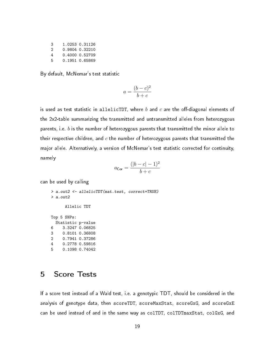| 3  | 1.0253 0.31126 |
|----|----------------|
| 2  | 0.9804 0.32210 |
| 4  | 0.4000 0.52709 |
| Б. | 0.1951 0.65869 |

By default, McNemar's test statistic

$$
a = \frac{(b-c)^2}{b+c}
$$

is used as test statistic in allelicTDT, where  $b$  and  $c$  are the off-diagonal elements of the 2x2-table summarizing the transmitted and untransmitted alleles from heterozygous parents, i.e. b is the number of heterozygous parents that transmitted the minor allele to their respective children, and  $c$  the number of heterozygous parents that transmitted the major allele. Alternatively, a version of McNemar's test statistic corrected for continuity, namely

$$
a_{\mathsf{Cor}} = \frac{(|b-c|-1)^2}{b+c}
$$

can be used by calling

> a.out2 <- allelicTDT(mat.test, correct=TRUE) > a.out2

Allelic TDT

Top 5 SNPs: Statistic p-value 6 3.3247 0.06825 3 0.8101 0.36808 2 0.7941 0.37286 4 0.2778 0.59816 5 0.1098 0.74042

### <span id="page-18-0"></span>5 Score Tests

If a score test instead of a Wald test, i.e. a genotypic TDT, should be considered in the analysis of genotype data, then scoreTDT, scoreMaxStat, scoreGxG, and scoreGxE can be used instead of and in the same way as colTDT, colTDTmaxStat, colGxG, and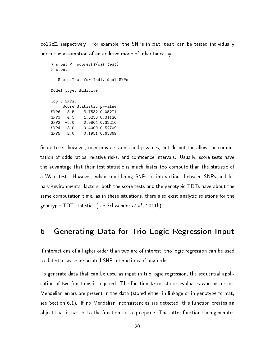colGxE, respectively. For example, the SNPs in mat.test can be tested individually under the assumption of an additive mode of inheritance by

```
> s.out <- scoreTDT(mat.test)
> s.out
  Score Test for Individual SNPs
Model Type: Additive
Top 5 SNPs:
    Score Statistic p-value
SNP6 8.5 3.7532 0.05271
SNP3 -4.5 1.0253 0.31126
SNP2 -5.0 0.9804 0.32210
SNP4 -3.0 0.4000 0.52709
SNP5 2.0 0.1951 0.65869
```
Score tests, however, only provide scores and p-values, but do not the allow the computation of odds ratios, relative risks, and confidence intervals. Usually, score tests have the advantage that their test statistic is much faster too compute than the statistic of a Wald test. However, when considering SNPs or interactions between SNPs and binary environmental factors, both the score tests and the genotypic TDTs have about the same computation time, as in these situations, there also exist analytic solutions for the genotypic TDT statistics (see [Schwender](#page-51-2) et al., [2011b\)](#page-51-2).

### <span id="page-19-0"></span>6 Generating Data for Trio Logic Regression Input

If interactions of a higher order than two are of interest, trio logic regression can be used to detect disease-associated SNP interactions of any order.

To generate data that can be used as input in trio logic regression, the sequential application of two functions is required. The function trio.check evaluates whether or not Mendelian errors are present in the data (stored either in linkage or in genotype format, see Section [6.1\)](#page-20-0). If no Mendelian inconsistencies are detected, this function creates an object that is passed to the function trio.prepare. The latter function then generates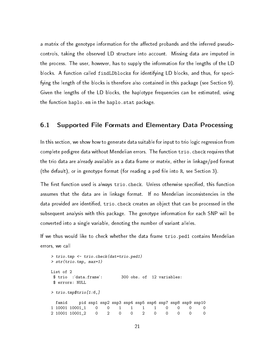a matrix of the genotype information for the affected probands and the inferred pseudocontrols, taking the observed LD structure into account. Missing data are imputed in the process. The user, however, has to supply the information for the lengths of the LD blocks. A function called findLDblocks for identifying LD blocks, and thus, for specifying the length of the blocks is therefore also contained in this package (see Section [9\)](#page-41-0). Given the lengths of the LD blocks, the haplotype frequencies can be estimated, using the function haplo.em in the haplo.stat package.

#### <span id="page-20-0"></span>6.1 Supported File Formats and Elementary Data Processing

In this section, we show how to generate data suitable for input to trio logic regression from complete pedigree data without Mendelian errors. The function trio.check requires that the trio data are already available as a data frame or matrix, either in linkage/ped format (the default), or in genotype format (for reading a ped file into R, see Section [3\)](#page-8-0).

The first function used is always trio.check. Unless otherwise specified, this function assumes that the data are in linkage format. If no Mendelian inconsistencies in the data provided are identified, trio.check creates an object that can be processed in the subsequent analysis with this package. The genotype information for each SNP will be converted into a single variable, denoting the number of variant alleles.

If we thus would like to check whether the data frame trio.ped1 contains Mendelian errors, we call

```
> trio.tmp <- trio.check(dat=trio.ped1)
> str(trio.tmp, max=1)
List of 2
$ trio :'data.frame': 300 obs. of 12 variables:
$ errors: NULL
> trio.tmp$trio[1:6,]
 famid pid snp1 snp2 snp3 snp4 snp5 snp6 snp7 snp8 snp9 snp10
1 10001 10001_1 0 0 1 1 1 1 0 0 0 0
2 10001 10001_2 0 2 0 0 2 0 0 0 0 0
```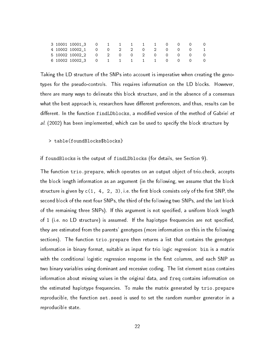|  | 4 10002 10002_1   0   0   2   2   0   2   0   0   0   1 |  |  |  |  |  |
|--|---------------------------------------------------------|--|--|--|--|--|
|  |                                                         |  |  |  |  |  |
|  | 6 10002 10002 3 0 1 1 1 1 1 1 0 0 0 0                   |  |  |  |  |  |

Taking the LD structure of the SNPs into account is imperative when creating the genotypes for the pseudo-controls. This requires information on the LD blocks. However, there are many ways to delineate this block structure, and in the absence of a consensus what the best approach is, researchers have different preferences, and thus, results can be different. In the function findLDblocks, a modified version of the method of [Gabriel](#page-50-4) et [al.](#page-50-4) [\(2002\)](#page-50-4) has been implemented, which can be used to specify the block structure by

#### > table(foundBlocks\$blocks}

if foundBlocks is the output of findLDblocks (for details, see Section [9\)](#page-41-0).

The function trio.prepare, which operates on an output object of trio.check, accepts the block length information as an argument (in the following, we assume that the block structure is given by  $c(1, 4, 2, 3)$ , i.e. the first block consists only of the first SNP, the second block of the next four SNPs, the third of the following two SNPs, and the last block of the remaining three SNPs). If this argument is not specified, a uniform block length of 1 (i.e. no LD structure) is assumed. If the haplotype frequencies are not specified, they are estimated from the parents' genotypes (more information on this in the following sections). The function trio.prepare then returns a list that contains the genotype information in binary format, suitable as input for trio logic regression: bin is a matrix with the conditional logistic regression response in the first columns, and each SNP as two binary variables using dominant and recessive coding. The list element miss contains information about missing values in the original data, and freq contains information on the estimated haplotype frequencies. To make the matrix generated by trio.prepare reproducible, the function set.seed is used to set the random number generator in a reproducible state.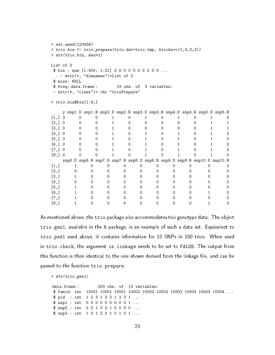```
> set.seed(123456)
> trio.bin <- trio.prepare(trio.dat=trio.tmp, blocks=c(1,4,2,3))
> str(trio.bin, max=1)
List of 3
$ bin : num [1:400, 1:21] 3 0 0 0 3 0 0 0 3 0 ...
 ..- attr(*, "dimnames")=List of 2
$ miss: NULL
$ freq:'data.frame': 19 obs. of 3 variables:
- attr(*, "class")= chr "trioPrepare"
> trio.bin$bin[1:8,]
  y snp1.D snp1.R snp2.D snp2.R snp3.D snp3.R snp4.D snp4.R snp5.D snp5.R
[1,] 3 0 0 1 0 1 0 1 0 1 0
[2,] 0 0 0 1 0 0 0 0 0 1 1
[3,] 0 0 0 1 0 0 0 0 0 1 1
[4,] 0 0 0 1 0 1 0 1 0 1 0
[5,] 3 0 0 1 0 1 0 1 0 1 0
[6,] 0 0 0 1 0 1 0 1 0 1 0
[7,] 0 0 0 1 0 1 0 1 0 1 0
[8,] 0 0 0 1 0 1 0 1 0 1 0
  snp6.D snp6.R snp7.D snp7.R snp8.D snp8.R snp9.D snp9.R snp10.D snp10.R
[1,] 1 0 0 0 0 0 0 0 0 0
[2,] 0 0 0 0 0 0 0 0 0 0
[3,] 1 0 0 0 0 0 0 0 0 0
[4,] 0 0 0 0 0 0 0 0 0 0
[5,] 1 0 0 0 0 0 0 0 0 0
[6,] 1 0 0 0 0 0 0 0 1 0
[7,] 1 0 0 0 0 0 0 0 0 0
[8,] 1 0 0 0 0 0 0 0 1 0
```
As mentioned above, the trio package also accommodates trio genotype data. The object trio.gen1, available in the R package, is an example of such a data set. Equivalent to trio.ped1 used above, it contains information for 10 SNPs in 100 trios. When used in trio.check, the argument is.linkage needs to be set to FALSE. The output from this function is then identical to the one shown derived from the linkage file, and can be passed to the function trio.prepare.

> str(trio.gen1)

```
'data.frame': 300 obs. of 12 variables:
$ famid: int 10001 10001 10001 10002 10002 10002 10003 10003 10003 10004 ...
$ pid : int 1 2 3 1 2 3 1 2 3 1 ...
$ snp1 : int 0 0 0 0 0 0 0 0 0 1 ...
$ snp2 : int 0 2 1 0 2 1 0 0 0 0 ...
$ snp3 : int 1 0 1 2 0 1 0 1 0 1 ...
```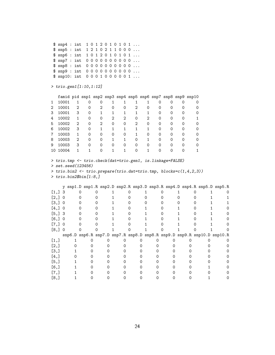\$ snp4 : int 1 0 1 2 0 1 0 1 0 1 ... \$ snp5 : int 1 2 1 0 2 1 1 0 0 0 ... \$ snp6 : int 1 0 1 2 0 1 0 1 0 1 ... \$ snp7 : int 0 0 0 0 0 0 0 0 0 0 ... \$ snp8 : int 0 0 0 0 0 0 0 0 0 0 ... \$ snp9 : int 0 0 0 0 0 0 0 0 0 0 ... \$ snp10: int 0 0 0 1 0 0 0 0 0 1 ...

#### > trio.gen1[1:10,1:12]

|    | famid pid snp1 snp2 snp3 snp4 snp5 snp6 snp7 snp8 snp9 snp10 |   |          |          |   |   |   |   |   |          |   |  |
|----|--------------------------------------------------------------|---|----------|----------|---|---|---|---|---|----------|---|--|
| 1  | 10001                                                        |   | Ω        |          |   |   |   |   | ი |          |   |  |
| 2  | 10001                                                        | 2 | Ω        | 2        | Ω | Ω | 2 | 0 | Ω | ∩        | Ω |  |
| 3  | 10001                                                        | 3 | 0        |          |   |   |   |   | Ω | Ω        |   |  |
| 4  | 10002                                                        |   | Ω        | $\Omega$ | 2 | 2 | Ω | 2 | Ω | ∩        | Ω |  |
| 5  | 10002                                                        | 2 | Ω        | 2        |   |   | 2 |   | Ω | ∩        |   |  |
| 6  | 10002                                                        | 3 | $\Omega$ |          |   |   |   |   | Ω | ∩        | Ω |  |
| 7  | 10003                                                        |   | ∩        |          |   |   |   |   | ∩ | $\Omega$ |   |  |
| 8  | 10003                                                        | 2 | Ω        | ∩        |   |   | ∩ |   | ∩ | ∩        |   |  |
| 9  | 10003                                                        | 3 |          |          |   |   |   |   |   |          |   |  |
| 10 | 10004                                                        |   |          |          |   |   |   |   |   |          |   |  |

> trio.tmp <- trio.check(dat=trio.gen1, is.linkage=FALSE) > set.seed(123456) > trio.bin2 <- trio.prepare(trio.dat=trio.tmp, blocks=c(1,4,2,3)) > trio.bin2\$bin[1:8,]

|                      | v        |  |  |  |  |  |  |  | snp1.D snp1.R snp2.D snp2.R snp3.D snp3.R snp4.D snp4.R snp5.D snp5.R   |
|----------------------|----------|--|--|--|--|--|--|--|-------------------------------------------------------------------------|
| $\left[1, \right]$ 3 |          |  |  |  |  |  |  |  |                                                                         |
| [2,]                 | $\Omega$ |  |  |  |  |  |  |  |                                                                         |
| [3,]                 | 0        |  |  |  |  |  |  |  |                                                                         |
| [4,]                 | $\Omega$ |  |  |  |  |  |  |  |                                                                         |
| [5,]                 | -3       |  |  |  |  |  |  |  |                                                                         |
| [6,]                 |          |  |  |  |  |  |  |  |                                                                         |
| L7.I                 |          |  |  |  |  |  |  |  |                                                                         |
| [8,]                 |          |  |  |  |  |  |  |  |                                                                         |
|                      |          |  |  |  |  |  |  |  |                                                                         |
|                      |          |  |  |  |  |  |  |  | snp6.D snp6.R snp7.D snp7.R snp8.D snp8.R snp9.D snp9.R snp10.D snp10.R |
| [1,]                 |          |  |  |  |  |  |  |  |                                                                         |
| [2,]                 |          |  |  |  |  |  |  |  |                                                                         |
| [3,]                 |          |  |  |  |  |  |  |  |                                                                         |
| [4,]                 |          |  |  |  |  |  |  |  |                                                                         |
| [5,]                 |          |  |  |  |  |  |  |  |                                                                         |
| [6,]                 |          |  |  |  |  |  |  |  |                                                                         |
| 17.I                 |          |  |  |  |  |  |  |  |                                                                         |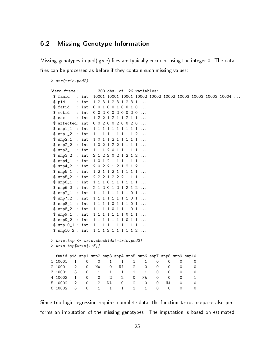### <span id="page-24-0"></span>6.2 Missing Genotype Information

Missing genotypes in ped(igree) files are typically encoded using the integer 0. The data files can be processed as before if they contain such missing values:

#### > str(trio.ped2)

```
'data.frame': 300 obs. of 26 variables:
 $ famid : int 10001 10001 10001 10002 10002 10002 10003 10003 10003 10004 ...
 $ pid : int 1 2 3 1 2 3 1 2 3 1 ...
 $ fatid : int 0 0 1 0 0 1 0 0 1 0 ...
 $ motid : int 00200200020...
 $ sex : int 1 2 2 1 2 1 1 2 1 1 ...
 $ affected: int 0 0 2 0 0 2 0 0 2 0 ...
 $ snp1_1 : int 1 1 1 1 1 1 1 1 1 1 ...
 $ snp1_2 : int 1 1 1 1 1 1 1 1 1 2 ...
 $ snp2_1 : int 1 0 1 1 2 1 1 1 1 1 ...
 $ snp2_2 : int 1 0 2 1 2 2 1 1 1 1 ...
 $ snp3_1 : int 1 1 1 2 0 1 1 1 1 1 ...
 $ snp3_2 : int 2 1 2 2 0 2 1 2 1 2 ...
 $ snp4_1 : int 1 0 1 2 1 1 1 1 1 1 ...
 $ snp4_2 : int 2 0 2 2 1 2 1 2 1 2 ...
 $ snp5_1 : int 1 2 1 1 2 1 1 1 1 1 ...
 $ snp5_2 : int 2 2 2 1 2 2 2 1 1 1 ...
 $ snp6_1 : int 1 1 1 0 1 1 1 1 1 1 ...
 $ snp6_2 : int 2 1 2 0 1 2 1 2 1 2 ...
 $ snp7_1 : int 1 1 1 1 1 1 1 1 0 1 ...
 $ snp7_2 : int 1 1 1 1 1 1 1 1 0 1 ...
 $ snp8_1 : int 1 1 1 1 0 1 1 1 0 1 ...
 $ snp8_2 : int 1 1 1 1 0 1 1 1 0 1 ...
 $ snp9_1 : int 1 1 1 1 1 1 1 0 1 1 ...
 $ snp9_2 : int 1 1 1 1 1 1 1 0 1 1 ...
 $ snp10_1 : int 1 1 1 1 1 1 1 1 1 1 ...
 $ snp10_2 : int 1 1 1 2 1 1 1 1 1 2 ...
> trio.tmp <- trio.check(dat=trio.ped2)
> trio.tmp$trio[1:6,]
 famid pid snp1 snp2 snp3 snp4 snp5 snp6 snp7 snp8 snp9 snp10
1 10001 1 0 0 1 1 1 1 0 0 0 0
2 10001 2 0 NA 0 NA 2 0 0 0 0 0<br>3 10001 3 0 1 1 1 1 1 0 0 0 0
3 10001 3 0 1 1 1 1 1 0 0 0 0
4 10002 1 0 0 2 2 0 NA 0 0 0 1
5 10002 2 0 2 NA 0 2 0 0 NA 0 0
6 10002 3 0 1 1 1 1 1 0 0 0 0
```
Since trio logic regression requires complete data, the function trio.prepare also performs an imputation of the missing genotypes. The imputation is based on estimated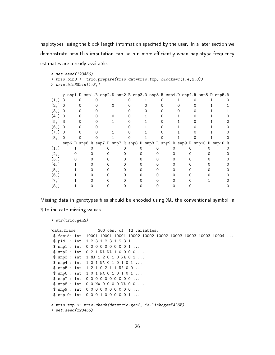haplotypes, using the block length information specified by the user. In a later section we demonstrate how this imputation can be run more efficiently when haplotype frequency estimates are already available.

```
> set.seed(123456)
> trio.bin3 <- trio.prepare(trio.dat=trio.tmp, blocks=c(1,4,2,3))
> trio.bin3$bin[1:8,]
```

|                    | v |  |  |  |  |  |  | snp1.D snp1.R snp2.D snp2.R snp3.D snp3.R snp4.D snp4.R snp5.D snp5.R   |
|--------------------|---|--|--|--|--|--|--|-------------------------------------------------------------------------|
| [1, 3]             |   |  |  |  |  |  |  |                                                                         |
| $\left[2, \right]$ |   |  |  |  |  |  |  |                                                                         |
| $\left[3, \right]$ |   |  |  |  |  |  |  |                                                                         |
| [4,]               |   |  |  |  |  |  |  |                                                                         |
| [5,                | 3 |  |  |  |  |  |  |                                                                         |
| [6,]               |   |  |  |  |  |  |  |                                                                         |
| $\left[7, \right]$ |   |  |  |  |  |  |  |                                                                         |
| [8,]               |   |  |  |  |  |  |  |                                                                         |
|                    |   |  |  |  |  |  |  |                                                                         |
|                    |   |  |  |  |  |  |  | snp6.D snp6.R snp7.D snp7.R snp8.D snp8.R snp9.D snp9.R snp10.D snp10.R |
| [1,]               |   |  |  |  |  |  |  |                                                                         |
| [2,]               |   |  |  |  |  |  |  |                                                                         |
| [3,]               |   |  |  |  |  |  |  |                                                                         |
| [4,]               |   |  |  |  |  |  |  |                                                                         |
| [5,]               |   |  |  |  |  |  |  |                                                                         |
| [6,]               |   |  |  |  |  |  |  |                                                                         |
| $\left[7, \right]$ |   |  |  |  |  |  |  |                                                                         |

Missing data in genotypes files should be encoded using NA, the conventional symbol in R to indicate missing values.

> str(trio.gen2)

```
'data.frame': 300 obs. of 12 variables:
 $ famid: int 10001 10001 10001 10002 10002 10002 10003 10003 10003 10004 ...
 $ pid : int 1 2 3 1 2 3 1 2 3 1 ...
 $ snp1 : int 0 0 0 0 0 0 0 0 0 1 ...
 $ snp2 : int 0 2 1 NA NA 1 0 0 0 0 ...
 $ snp3 : int 1 NA 1 2 0 1 0 NA 0 1 ...
 $ snp4 : int 1 0 1 NA 0 1 0 1 0 1 ...
 $ snp5 : int 1 2 1 0 2 1 1 NA 0 0 ...
 $ snp6 : int 1 0 1 NA 0 1 0 1 0 1 ...
 $ snp7 : int 0 0 0 0 0 0 0 0 0 0 ...
 $ snp8 : int 0 0 NA 0 0 0 0 NA 0 0 ...
 $ snp9 : int 0 0 0 0 0 0 0 0 0 0 ...
 $ snp10: int 0001000001...
> trio.tmp <- trio.check(dat=trio.gen2, is.linkage=FALSE)
> set.seed(123456)
```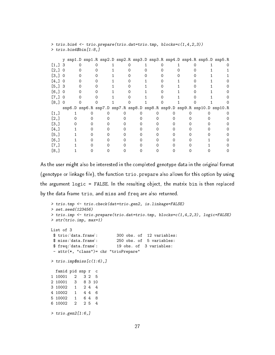|                      | > trio.bin4 <- trio.prepare(trio.dat=trio.tmp, blocks=c(1,4,2,3)) |  |  |  |  |  |  |  |  |  |  |  |  |  |  |  |  |                                                                         |
|----------------------|-------------------------------------------------------------------|--|--|--|--|--|--|--|--|--|--|--|--|--|--|--|--|-------------------------------------------------------------------------|
|                      | $\rightarrow$ trio.bin4\$bin $[1:8,]$                             |  |  |  |  |  |  |  |  |  |  |  |  |  |  |  |  |                                                                         |
|                      |                                                                   |  |  |  |  |  |  |  |  |  |  |  |  |  |  |  |  |                                                                         |
|                      | V                                                                 |  |  |  |  |  |  |  |  |  |  |  |  |  |  |  |  | snp1.D snp1.R snp2.D snp2.R snp3.D snp3.R snp4.D snp4.R snp5.D snp5.R   |
| $\left[1, \right]$ 3 |                                                                   |  |  |  |  |  |  |  |  |  |  |  |  |  |  |  |  |                                                                         |
| [2,]                 | 0                                                                 |  |  |  |  |  |  |  |  |  |  |  |  |  |  |  |  |                                                                         |
| $\left[3, \right]$   | $\Omega$                                                          |  |  |  |  |  |  |  |  |  |  |  |  |  |  |  |  |                                                                         |
| [4,]                 | $\Omega$                                                          |  |  |  |  |  |  |  |  |  |  |  |  |  |  |  |  |                                                                         |
| [5, 3]               |                                                                   |  |  |  |  |  |  |  |  |  |  |  |  |  |  |  |  |                                                                         |
| [6,]                 | 0                                                                 |  |  |  |  |  |  |  |  |  |  |  |  |  |  |  |  |                                                                         |
| [7,]                 | 0                                                                 |  |  |  |  |  |  |  |  |  |  |  |  |  |  |  |  |                                                                         |
| [8,]                 | $\Omega$                                                          |  |  |  |  |  |  |  |  |  |  |  |  |  |  |  |  |                                                                         |
|                      |                                                                   |  |  |  |  |  |  |  |  |  |  |  |  |  |  |  |  | snp6.D snp6.R snp7.D snp7.R snp8.D snp8.R snp9.D snp9.R snp10.D snp10.R |
| [1,]                 |                                                                   |  |  |  |  |  |  |  |  |  |  |  |  |  |  |  |  |                                                                         |
| [2,]                 |                                                                   |  |  |  |  |  |  |  |  |  |  |  |  |  |  |  |  |                                                                         |
| [3,]                 |                                                                   |  |  |  |  |  |  |  |  |  |  |  |  |  |  |  |  |                                                                         |
| [4,]                 |                                                                   |  |  |  |  |  |  |  |  |  |  |  |  |  |  |  |  |                                                                         |
| [5,]                 |                                                                   |  |  |  |  |  |  |  |  |  |  |  |  |  |  |  |  |                                                                         |
| [6,]                 |                                                                   |  |  |  |  |  |  |  |  |  |  |  |  |  |  |  |  |                                                                         |
| [7,]                 |                                                                   |  |  |  |  |  |  |  |  |  |  |  |  |  |  |  |  |                                                                         |
| [8,]                 |                                                                   |  |  |  |  |  |  |  |  |  |  |  |  |  |  |  |  |                                                                         |

As the user might also be interested in the completed genotype data in the original format (genotype or linkage file), the function trio.prepare also allows for this option by using the argument logic = FALSE. In the resulting object, the matrix bin is then replaced by the data frame trio, and miss and freq are also returned.

```
> trio.tmp <- trio.check(dat=trio.gen2, is.linkage=FALSE)
> set.seed(123456)
> trio.imp <- trio.prepare(trio.dat=trio.tmp, blocks=c(1,4,2,3), logic=FALSE)
> str(trio.imp, max=1)
List of 3
$ trio:'data.frame': 300 obs. of 12 variables:
 $ miss:'data.frame': 250 obs. of 5 variables:
 $ freq:'data.frame': 19 obs. of 3 variables:
- attr(*, "class")= chr "trioPrepare"
> trio.imp$miss[c(1:6),]
 famid pid snp r c
1 10001 2 3 2 5
2 10001 3 8 3 10
3 10002 1 2 4 4
4 10002 1 4 4 6
5 10002 1 6 4 8
6 10002 2 2 5 4
> trio.gen2[1:6,]
```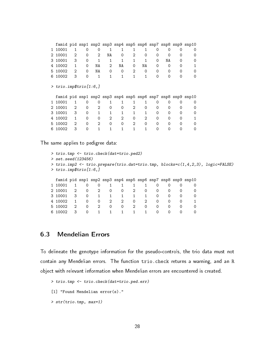|   | famid pid snp1 snp2 snp3 snp4 snp5 snp6 snp7 snp8 snp9 snp10 |                |          |                   |          |          |   |    |          |                  |   |  |  |
|---|--------------------------------------------------------------|----------------|----------|-------------------|----------|----------|---|----|----------|------------------|---|--|--|
|   | 10001                                                        | 1              | 0        | 0                 | 1        | 1        |   |    | $\Omega$ | $\left( \right)$ |   |  |  |
|   | 2 10001                                                      | 2              | 0        | 2                 | ΝA       | 0        | 2 | 0  | 0        | 0                |   |  |  |
|   | 3 10001                                                      | 3              | 0        | 1                 | 1        | 1        |   |    | $\Omega$ | NA               | Ω |  |  |
|   | 4 10002                                                      | 1              | $\Omega$ | NA                | 2        | NA       | 0 | NA | 0        | 0                |   |  |  |
|   | 5 10002                                                      | 2              | 0        | NA                | 0        | 0        | 2 | 0  | $\Omega$ | 0                | ∩ |  |  |
|   | 6 10002                                                      | 3              | $\Omega$ | 1                 | 1        | 1        | 1 |    | $\Omega$ | ∩                |   |  |  |
| ⋗ | $trio.$ imp $$trio[1:6]$                                     |                |          |                   |          |          |   |    |          |                  |   |  |  |
|   |                                                              |                |          |                   |          |          |   |    |          |                  |   |  |  |
|   | famid pid snp1 snp2 snp3 snp4 snp5 snp6 snp7 snp8 snp9 snp10 |                |          |                   |          |          |   |    |          |                  |   |  |  |
|   | 10001                                                        | 1              | ∩        | $\Omega$          |          |          |   |    | O        | $\Omega$         |   |  |  |
|   | 2 10001                                                      | 2              | $\Omega$ | $\mathcal{D}_{1}$ | $\Omega$ | Ω        | 2 | 0  | 0        | 0                |   |  |  |
|   | 3 10001                                                      | 3              | 0        | 1                 |          |          |   |    | 0        | ∩                |   |  |  |
| 4 | 10002                                                        | 1              | 0        | $\Omega$          | 2        | 2        | 0 | 2  | 0        | 0                |   |  |  |
|   | 5 10002                                                      | $\overline{2}$ | $\Omega$ | 2                 | $\Omega$ | $\Omega$ | 2 | 0  | 0        | ∩                |   |  |  |
| 6 | 10002                                                        | 3              |          |                   |          |          |   |    | 0        |                  |   |  |  |

The same applies to pedigree data:

```
> trio.tmp <- trio.check(dat=trio.ped2)
> set.seed(123456)
> trio.imp2 <- trio.prepare(trio.dat=trio.tmp, blocks=c(1,4,2,3), logic=FALSE)
> trio.imp$trio[1:6,]
 famid pid snp1 snp2 snp3 snp4 snp5 snp6 snp7 snp8 snp9 snp10
1 10001 1 0 0 1 1 1 1 0 0 0 0
2 10001 2 0 2 0 0 2 0 0 0 0 0
3 10001 3 0 1 1 1 1 1 0 0 0 0
4 10002 1 0 0 2 2 0 2 0 0 0 1
5 10002 2 0 2 0 0 2 0 0 0 0 0
6 10002 3 0 1 1 1 1 1 0 0 0 0
```
#### <span id="page-27-0"></span>6.3 Mendelian Errors

To delineate the genotype information for the pseudo-controls, the trio data must not contain any Mendelian errors. The function trio.check returns a warning, and an R object with relevant information when Mendelian errors are encountered is created.

```
> trio.tmp <- trio.check(dat=trio.ped.err)
[1] "Found Mendelian error(s)."
> str(trio.tmp, max=1)
```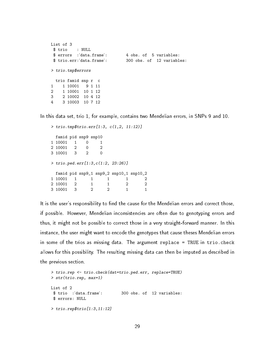```
List of 3
 $ trio : NULL
 $ errors :'data.frame': 4 obs. of 5 variables:
 $ trio.err:'data.frame': 300 obs. of 12 variables:
> trio.tmp$errors
 trio famid snp r c
1 1 10001 9 1 11
2 1 10001 10 1 12
3 2 10002 10 4 12
4 3 10003 10 7 12
```
In this data set, trio 1, for example, contains two Mendelian errors, in SNPs 9 and 10.

```
> trio.tmp$trio.err[1:3, c(1,2, 11:12)]
 famid pid snp9 snp10
1 10001 1 0 1<br>2 10001 2 0 2
2 10001 2
3 10001 3 2 0
> trio.ped.err[1:3,c(1:2, 23:26)]
 famid pid snp9_1 snp9_2 snp10_1 snp10_2
1 10001 1 1 1 1 2
2 10001 2 1 1 2 2
3 10001 3 2 2 1 1
```
It is the user's responsibility to find the cause for the Mendelian errors and correct those, if possible. However, Mendelian inconsistencies are often due to genotyping errors and thus, it might not be possible to correct those in a very straight-forward manner. In this instance, the user might want to encode the genotypes that cause theses Mendelian errors in some of the trios as missing data. The argument replace = TRUE in trio.check allows for this possibility. The resulting missing data can then be imputed as described in the previous section.

```
> trio.rep <- trio.check(dat=trio.ped.err, replace=TRUE)
> str(trio.rep, max=1)
List of 2
$ trio :'data.frame': 300 obs. of 12 variables:
$ errors: NULL
> trio.rep$trio[1:3,11:12]
```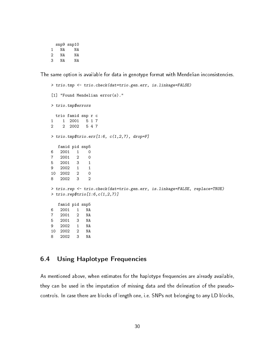snp9 snp10 1 NA NA 2 NA NA 3 NA NA

The same option is available for data in genotype format with Mendelian inconsistencies.

```
> trio.tmp <- trio.check(dat=trio.gen.err, is.linkage=FALSE)
[1] "Found Mendelian error(s)."
> trio.tmp$errors
 trio famid snp r c
1 1 2001 5 1 7
2 2 2002 5 4 7
> trio.tmp$trio.err[1:6, c(1,2,7), drop=F]
  famid pid snp5
6 2001 1 0
7 2001 2 0
5 2001 3 1
9 2002 1 1
10 2002 2 0
8 2002 3 2
> trio.rep <- trio.check(dat=trio.gen.err, is.linkage=FALSE, replace=TRUE)
> trio.rep$trio[1:6,c(1,2,7)]
  famid pid snp5
6 2001 1 NA
7 2001 2 NA
5 2001 3 NA
9 2002 1 NA
10 2002 2 NA
8 2002 3 NA
```
### <span id="page-29-0"></span>6.4 Using Haplotype Frequencies

As mentioned above, when estimates for the haplotype frequencies are already available, they can be used in the imputation of missing data and the delineation of the pseudocontrols. In case there are blocks of length one, i.e. SNPs not belonging to any LD blocks,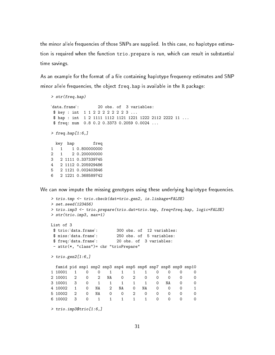the minor allele frequencies of those SNPs are supplied. In this case, no haplotype estimation is required when the function trio.prepare is run, which can result in substantial time savings.

As an example for the format of a file containing haplotype frequency estimates and SNP minor allele frequencies, the object freq.hap is available in the R package:

```
> str(freq.hap)
'data.frame': 20 obs. of 3 variables:
$ key : int 1 1 2 2 2 2 2 2 2 3 ...
 $ hap : int 1 2 1111 1112 1121 1221 1222 2112 2222 11 ...
$ freq: num  0.8 0.2 0.3373 0.2059 0.0024 ...
> freq.hap[1:6,]key hap freq<br>1 1 1 0.800000000
      1 0.800000000
2 1 2 0.200000000
3 2 1111 0.337339745
4 2 1112 0.205929486
5 2 1121 0.002403846
6 2 1221 0.368589742
```
We can now impute the missing genotypes using these underlying haplotype frequencies.

```
> trio.tmp <- trio.check(dat=trio.gen2, is.linkage=FALSE)
> set.seed(123456)
> trio.imp3 <- trio.prepare(trio.dat=trio.tmp, freq=freq.hap, logic=FALSE)
> str(trio.imp3, max=1)
List of 3
$ trio:'data.frame': 300 obs. of 12 variables:
$ miss:'data.frame': 250 obs. of 5 variables:
$ freq:'data.frame': 20 obs. of 3 variables:
- attr(*, "class")= chr "trioPrepare"
> trio.gen2[1:6,]
 famid pid snp1 snp2 snp3 snp4 snp5 snp6 snp7 snp8 snp9 snp10
1 10001 1 0 0 1 1 1 1 0 0 0 0
2 10001 2 0 2 NA 0 2 0 0 0 0 0
3 10001 3 0 1 1 1 1 1 0 NA 0 0<br>4 10002 1 0 NA 2 NA 0 NA 0 0 0 1
4 10002 1 0 NA 2 NA 0 NA 0 0 0 1
5 10002 2 0 NA 0 0 2 0 0 0 0 0
6 10002 3 0 1 1 1 1 1 0 0 0 0
> trio.imp3$trio[1:6,]
```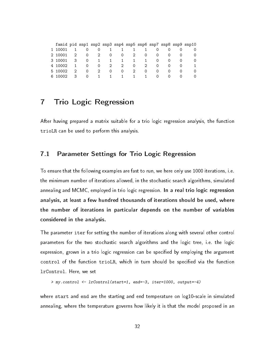|    |         |    |          |             |              |                  |                |              |                  |                  | famid pid snp1 snp2 snp3 snp4 snp5 snp6 snp7 snp8 snp9 snp10 |
|----|---------|----|----------|-------------|--------------|------------------|----------------|--------------|------------------|------------------|--------------------------------------------------------------|
|    | 10001   |    |          | 0           |              |                  |                |              |                  |                  |                                                              |
|    | 2 10001 | 2  | $\Omega$ |             | 2<br>0       | $\Omega$         | 2              | $\Omega$     | $\Omega$         | $\Omega$         |                                                              |
|    | 3 10001 | 3  | 0        |             |              |                  | $\overline{1}$ | -1           | $\Omega$         | 0                |                                                              |
|    | 4 10002 | 1. | 0        | 0           |              | 2<br>$2^{\circ}$ | $\Omega$       | 2            | $\Omega$         | $\Omega$         |                                                              |
|    | 5 10002 | 2  | $\Omega$ | $2^{\circ}$ | 0            | $\Omega$         | $\overline{2}$ | $\Omega$     | 0                | $\Omega$         |                                                              |
| 6. |         | 3  | $\Omega$ | 1           | $\mathbf{1}$ | $\mathbf{1}$     | $\mathbf{1}$   | $\mathbf{1}$ | $\left( \right)$ | $\left( \right)$ |                                                              |

### <span id="page-31-0"></span>7 Trio Logic Regression

After having prepared a matrix suitable for a trio logic regression analysis, the function trioLR can be used to perform this analysis.

### <span id="page-31-1"></span>7.1 Parameter Settings for Trio Logic Regression

To ensure that the following examples are fast to run, we here only use 1000 iterations, i.e. the minimum number of iterations allowed, in the stochastic search algorithms, simulated annealing and MCMC, employed in trio logic regression. In a real trio logic regression analysis, at least a few hundred thousands of iterations should be used, where the number of iterations in particular depends on the number of variables considered in the analysis.

The parameter iter for setting the number of iterations along with several other control parameters for the two stochastic search algorithms and the logic tree, i.e. the logic expression, grown in a trio logic regression can be specified by employing the argument control of the function trioLR, which in turn should be specified via the function lrControl. Here, we set

```
> my.control <- lrControl(start=1, end=-3, iter=1000, output=-4)
```
where start and end are the starting and end temperature on log10-scale in simulated annealing, where the temperature governs how likely it is that the model proposed in an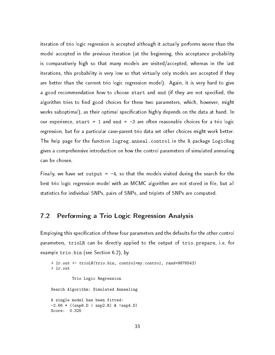iteration of trio logic regression is accepted although it actually performs worse than the model accepted in the previous iteration (at the beginning, this acceptance probability is comparatively high so that many models are visited/accepted, whereas in the last iterations, this probability is very low so that virtually only models are accepted if they are better than the current trio logic regression model). Again, it is very hard to give a good recommendation how to choose start and end (if they are not specified, the algorithm tries to find good choices for these two parameters, which, however, might works suboptimal), as their optimal specification highly depends on the data at hand. In our experience, start = 1 and end =  $-3$  are often reasonable choices for a trio logic regression, but for a particular case-parent trio data set other choices might work better. The help page for the function logreg.anneal.control in the R package LogicReg gives a comprehensive introduction on how the control parameters of simulated annealing can be chosen.

Finally, we have set output =  $-4$ , so that the models visited during the search for the best trio logic regression model with an MCMC algorithm are not stored in file, but all statistics for individual SNPs, pairs of SNPs, and triplets of SNPs are computed.

### <span id="page-32-0"></span>7.2 Performing a Trio Logic Regression Analysis

Employing this specification of these four parameters and the defaults for the other control parameters, trioLR can be directly applied to the output of trio.prepare, i.e. for example trio.bin (see Section [6.2\)](#page-24-0), by

```
> lr.out <- trioLR(trio.bin, control=my.control, rand=9876543)
> lr.out
         Trio Logic Regression
Search Algorithm: Simulated Annealing
A single model has been fitted:
-2.66 * ((snp6.D | snp2.R) & snp4.D)Score: 0.325
```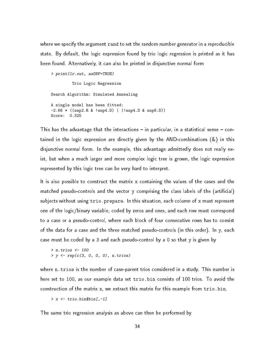where we specify the argument rand to set the random number generator in a reproducible state. By default, the logic expression found by trio logic regression is printed as it has been found. Alternatively, it can also be printed in disjunctive normal form

```
> print(lr.out, asDNF=TRUE)
         Trio Logic Regression
Search Algorithm: Simulated Annealing
A single model has been fitted:
-2.66 * ((snp2.R & !snp4.D) | (!snp4.D & snp6.D))
Score: 0.325
```
This has the advantage that the interactions  $-$  in particular, in a statistical sense  $-$  contained in the logic expression are directly given by the AND-combinations (&) in this disjunctive normal form. In the example, this advantage admittedly does not really exist, but when a much larger and more complex logic tree is grown, the logic expression represented by this logic tree can be very hard to interpret.

It is also possible to construct the matrix x containing the values of the cases and the matched pseudo-controls and the vector y comprising the class labels of the (articial) subjects without using trio.prepare. In this situation, each column of x must represent one of the logic/binary variable, coded by zeros and ones, and each row must correspond to a case or a pseudo-control, where each block of four consecutive rows has to consist of the data for a case and the three matched pseudo-controls (in this order). In y, each case must be coded by a 3 and each pseudo-control by a 0 so that y is given by

> n.trios <- 100  $> y \leq rep(c(3, 0, 0, 0), n. trios)$ 

where n.trios is the number of case-parent trios considered in a study. This number is here set to 100, as our example data set trio.bin consists of 100 trios. To avoid the construction of the matrix x, we extract this matrix for this example from trio.bin.

```
> x < - trio.bin$bin[,-1]
```
The same trio regression analysis as above can then be performed by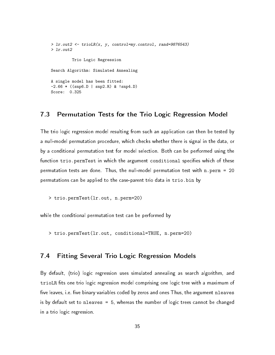```
> lr.out2 <- trioLR(x, y, control=my.control, rand=9876543)
> lr.out2
         Trio Logic Regression
Search Algorithm: Simulated Annealing
A single model has been fitted:
-2.66 * ((snp6.D | snp2.R) & snp4.D)Score: 0.325
```
#### <span id="page-34-0"></span>7.3 Permutation Tests for the Trio Logic Regression Model

The trio logic regression model resulting from such an application can then be tested by a null-model permutation procedure, which checks whether there is signal in the data, or by a conditional permutation test for model selection. Both can be performed using the function trio.permTest in which the argument conditional specifies which of these permutation tests are done. Thus, the null-model permutation test with n.perm = 20 permutations can be applied to the case-parent trio data in trio.bin by

> trio.permTest(lr.out, n.perm=20)

while the conditional permutation test can be performed by

```
> trio.permTest(lr.out, conditional=TRUE, n.perm=20)
```
#### <span id="page-34-1"></span>7.4 Fitting Several Trio Logic Regression Models

By default, (trio) logic regression uses simulated annealing as search algorithm, and trioLR fits one trio logic regression model comprising one logic tree with a maximum of five leaves, i.e. five binary variables coded by zeros and ones Thus, the argument nleaves is by default set to nleaves  $= 5$ , whereas the number of logic trees cannot be changed in a trio logic regression.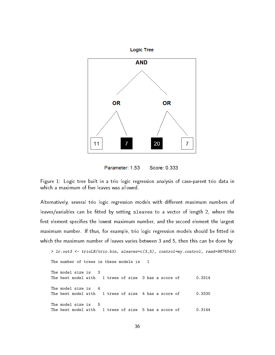

Parameter: 1.53 Score: 0.333

<span id="page-35-0"></span>Figure 1: Logic tree built in a trio logic regression analysis of case-parent trio data in which a maximum of five leaves was allowed.

Alternatively, several trio logic regression models with different maximum numbers of leaves/variables can be fitted by setting nleaves to a vector of length 2, where the first element specifies the lowest maximum number, and the second element the largest maximum number. If thus, for example, trio logic regression models should be fitted in which the maximum number of leaves varies between 3 and 5, then this can be done by

```
> lr.out3 <- trioLR(trio.bin, nleaves=c(3,5), control=my.control, rand=9876543)
The number of trees in these models is 1
The model size is 3
The best model with 1 trees of size 3 has a score of 0.3314
The model size is 4
The best model with 1 trees of size 4 has a score of 0.3330
The model size is 5
The best model with 1 trees of size 5 has a score of 0.3144
```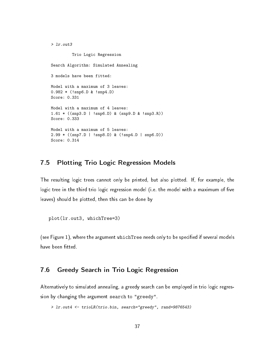```
> lr.out3
         Trio Logic Regression
Search Algorithm: Simulated Annealing
3 models have been fitted:
Model with a maximum of 3 leaves:
0.982 * (!snp6.D & !snp4.D)
Score: 0.331
Model with a maximum of 4 leaves:
1.61 * ((snp3.D | !snp6.D) & (snp9.D & !snp3.R))
Score: 0.333
Model with a maximum of 5 leaves:
2.99 * ((snp7.D | !snp8.D) & (!snp4.D | snp6.D))
Score: 0.314
```
#### <span id="page-36-0"></span>7.5 Plotting Trio Logic Regression Models

The resulting logic trees cannot only be printed, but also plotted. If, for example, the logic tree in the third trio logic regression model (i.e. the model with a maximum of five leaves) should be plotted, then this can be done by

```
plot(lr.out3, whichTree=3)
```
(see Figure [1\)](#page-35-0), where the argument which Tree needs only to be specified if several models have been fitted.

### <span id="page-36-1"></span>7.6 Greedy Search in Trio Logic Regression

Alternatively to simulated annealing, a greedy search can be employed in trio logic regression by changing the argument search to "greedy".

```
> lr.out4 <- trioLR(trio.bin, search="greedy", rand=9876543)
```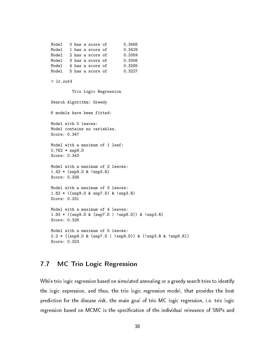```
Model 0 has a score of 0.3466
Model 1 has a score of 0.3429
Model 2 has a score of 0.3359
Model 3 has a score of 0.3306
Model 4 has a score of 0.3265
Model 5 has a score of 0.3227
> lr.out4
        Trio Logic Regression
Search Algorithm: Greedy
6 models have been fitted:
Model with 0 leaves:
Model contains no variables.
Score: 0.347
Model with a maximum of 1 leaf:
0.762 * snp9.D
Score: 0.343
Model with a maximum of 2 leaves:
1.43 * (snp9.D & !snp3.R)
Score: 0.336
Model with a maximum of 3 leaves:
1.82 * ((snp9.D & snp7.D) & !snp3.R)
Score: 0.331
Model with a maximum of 4 leaves:
1.93 * ((snp9.D & (snp7.D | !snp8.D)) & !snp3.R)
Score: 0.326
Model with a maximum of 5 leaves:
2.2 * ((snp9.D & (snp7.D | !snp8.D)) & (!snp3.R & !snp6.R))
Score: 0.323
```
### <span id="page-37-0"></span>7.7 MC Trio Logic Regression

While trio logic regression based on simulated annealing or a greedy search tries to identify the logic expression, and thus, the trio logic regression model, that provides the best prediction for the disease risk, the main goal of trio MC logic regression, i.e. trio logic regression based on MCMC is the specification of the individual relevance of SNPs and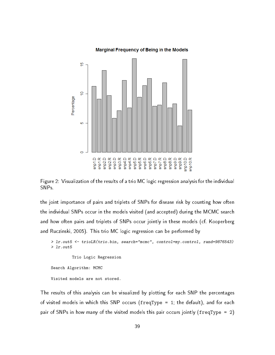#### **Marginal Frequency of Being in the Models**



<span id="page-38-0"></span>Figure 2: Visualization of the results of a trio MC logic regression analysis for the individual SNPs.

the joint importance of pairs and triplets of SNPs for disease risk by counting how often the individual SNPs occur in the models visited (and accepted) during the MCMC search and how often pairs and triplets of SNPs occur jointly in these models (cf. [Kooperberg](#page-50-5) [and Ruczinski,](#page-50-5) [2005\)](#page-50-5). This trio MC logic regression can be performed by

```
> lr.out5 <- trioLR(trio.bin, search="mcmc", control=my.control, rand=9876543)
> lr.out5
```
Trio Logic Regression

Search Algorithm: MCMC Visited models are not stored.

The results of this analysis can be visualized by plotting for each SNP the percentages of visited models in which this SNP occurs (freqType = 1; the default), and for each pair of SNPs in how many of the visited models this pair occurs jointly (freqType = 2)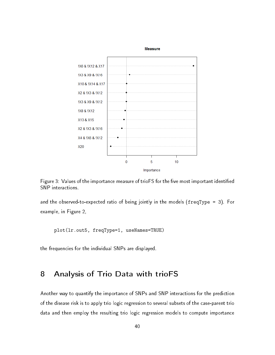

<span id="page-39-1"></span>Figure 3: Values of the importance measure of trioFS for the five most important identified SNP interactions.

and the observed-to-expected ratio of being jointly in the models (freqType = 3). For example, in Figure [2,](#page-38-0)

plot(lr.out5, freqType=1, useNames=TRUE)

the frequencies for the individual SNPs are displayed.

### <span id="page-39-0"></span>8 Analysis of Trio Data with trioFS

Another way to quantify the importance of SNPs and SNP interactions for the prediction of the disease risk is to apply trio logic regression to several subsets of the case-parent trio data and then employ the resulting trio logic regression models to compute importance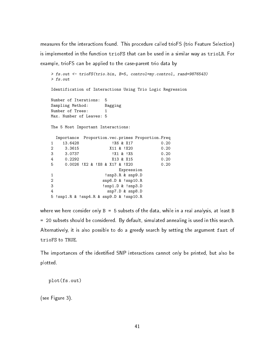measures for the interactions found. This procedure called trioFS (trio Feature Selection) is implemented in the function trioFS that can be used in a similar way as trioLR. For example, trioFS can be applied to the case-parent trio data by

```
> fs.out <- trioFS(trio.bin, B=5, control=my.control, rand=9876543)
> fs.out
Identification of Interactions Using Trio Logic Regression
Number of Iterations: 5
Sampling Method: Bagging
Number of Trees: 1
Max. Number of Leaves: 5
The 5 Most Important Interactions:
 Importance Proportion.vec.primes Proportion.Freq
1 13.6428 !X6 & X17 0.20
2 3.3615 X11 & !X20 0.20
3 3.0737 !X1 & !X5 0.20
4 0.2292 X13 & X15 0.20
5 0.0026 !X2 & !X8 & X17 & !X20 0.20
                     Expression
1 !snp3.R & snp9.D
2 snp6.D & !snp10.R
3 !snp1.D & !snp3.D
4 snp7.D & snp8.D
5 !snp1.R & !snp4.R & snp9.D & !snp10.R
```
where we here consider only  $B = 5$  subsets of the data, while in a real analysis, at least B = 20 subsets should be considered. By default, simulated annealing is used in this search. Alternatively, it is also possible to do a greedy search by setting the argument fast of trioFS to TRUE.

The importances of the identified SNP interactions cannot only be printed, but also be plotted.

```
plot(fs.out)
```
(see Figure [3\)](#page-39-1).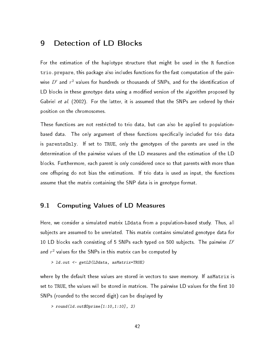### <span id="page-41-0"></span>9 Detection of LD Blocks

For the estimation of the haplotype structure that might be used in the R function trio.prepare, this package also includes functions for the fast computation of the pairwise  $D^{\prime}$  and  $r^{2}$  values for hundreds or thousands of SNPs, and for the identification of LD blocks in these genotype data using a modified version of the algorithm proposed by [Gabriel](#page-50-4) et al. [\(2002\)](#page-50-4). For the latter, it is assumed that the SNPs are ordered by their position on the chromosomes.

These functions are not restricted to trio data, but can also be applied to populationbased data. The only argument of these functions specifically included for trio data is parentsOnly. If set to TRUE, only the genotypes of the parents are used in the determination of the pairwise values of the LD measures and the estimation of the LD blocks. Furthermore, each parent is only considered once so that parents with more than one offspring do not bias the estimations. If trio data is used as input, the functions assume that the matrix containing the SNP data is in genotype format.

### <span id="page-41-1"></span>9.1 Computing Values of LD Measures

Here, we consider a simulated matrix LDdata from a population-based study. Thus, all subjects are assumed to be unrelated. This matrix contains simulated genotype data for 10 LD blocks each consisting of 5 SNPs each typed on 500 subjects. The pairwise  $D'$ and  $r^2$  values for the SNPs in this matrix can be computed by

> ld.out <- getLD(LDdata, asMatrix=TRUE)

where by the default these values are stored in vectors to save memory. If asMatrix is set to TRUE, the values will be stored in matrices. The pairwise LD values for the first 10 SNPs (rounded to the second digit) can be displayed by

```
> round(ld.out$Dprime[1:10,1:10], 2)
```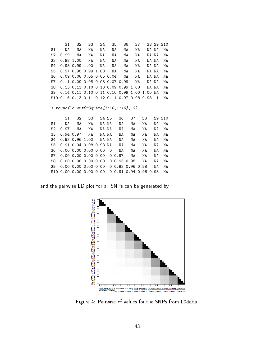S1 S2 S3 S4 S5 S6 S7 S8 S9 S10 S1 NA NA NA NA NA NA NA NA NA NA S2 0.99 NA NA NA NA NA NA NA NA NA S3 0.98 1.00 NA NA NA NA NA NA NA NA S4 0.98 0.99 1.00 NA NA NA NA NA NA NA S5 0.97 0.98 0.99 1.00 NA NA NA NA NA NA S6 0.09 0.06 0.05 0.05 0.04 NA NA NA NA NA S7 0.11 0.09 0.08 0.08 0.07 0.99 NA NA NA NA S8 0.13 0.11 0.10 0.10 0.09 0.99 1.00 NA NA NA S9 0.14 0.11 0.10 0.11 0.10 0.99 1.00 1.00 NA NA S10 0.16 0.13 0.11 0.12 0.11 0.97 0.98 0.98 1 NA

> round(ld.out\$rSquare[1:10,1:10], 2)

| S1 S2 S3 S4 S5 S6 S7 S8 S9 S10                         |  |       |    |       |    |       |       |
|--------------------------------------------------------|--|-------|----|-------|----|-------|-------|
| S1 NA NA NA NANA NA NA                                 |  |       |    |       |    | NA NA | ΝA    |
| S2 0.97 NA NA                                          |  | NA NA | NA | NA    | NA |       | NA NA |
| S3 0.94 0.97 NA NANA                                   |  |       |    | NA NA | NA | NA    | NA    |
| S4 0.93 0.96 1.00   NA NA                              |  |       | NA | NA    | NA | NA    | NA    |
| S5 0.91 0.94 0.98 0.98 NA NA                           |  |       |    | NA    | NA | NA    | ΝA    |
| S6  0.00  0.00  0.00  0.00  0  NA  NA                  |  |       |    |       | NA | NA    | NA    |
| S7 0.00 0.00 0.00 0.00 0 0.97 NA NA NA                 |  |       |    |       |    |       | NA    |
| S8  0.00  0.00  0.00  0.00  00.95  0.98  NA  NA        |  |       |    |       |    |       | NA    |
| S9  0.00  0.00  0.00  0.00  0  0.93  0.96  0.98  NA    |  |       |    |       |    |       | ΝA    |
| S10  0.00  0.00  0.00  0.00  0  0.91  0.94  0.96  0.98 |  |       |    |       |    |       | NA    |

and the pairwise LD plot for all SNPs can be generated by



<span id="page-42-0"></span>Figure 4: Pairwise  $r^2$  values for the SNPs from LDdata.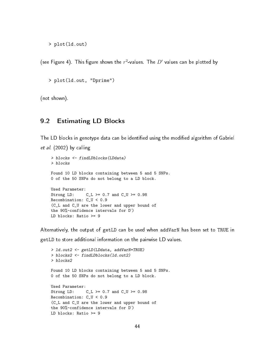```
> plot(ld.out)
```
(see Figure [4\)](#page-42-0). This figure shows the  $r^2$ -values. The  $D'$  values can be plotted by

```
> plot(ld.out, "Dprime")
```
(not shown).

#### <span id="page-43-0"></span>9.2 Estimating LD Blocks

The LD blocks in genotype data can be identified using the modified algorithm of [Gabriel](#page-50-4) [et al.](#page-50-4) [\(2002\)](#page-50-4) by calling

```
> blocks <- findLDblocks(LDdata)
> blocks
Found 10 LD blocks containing between 5 and 5 SNPs.
0 of the 50 SNPs do not belong to a LD block.
Used Parameter:
Strong LD: C_L \ge 0.7 and C_U \ge 0.98Recombination: C_U < 0.9
(C_L and C_U are the lower and upper bound of
the 90%-confidence intervals for D')
LD blocks: Ratio >= 9
```
Alternatively, the output of getLD can be used when addVarN has been set to TRUE in

getLD to store additional information on the pairwise LD values.

```
> ld.out2 <- getLD(LDdata, addVarN=TRUE)
> blocks2 <- findLDblocks(ld.out2)
> blocks2
Found 10 LD blocks containing between 5 and 5 SNPs.
0 of the 50 SNPs do not belong to a LD block.
Used Parameter:
Strong LD: C_L \ge 0.7 and C_U \ge 0.98Recombination: C_U < 0.9
(C_L and C_U are the lower and upper bound of
the 90%-confidence intervals for D')
LD blocks: Ratio >= 9
```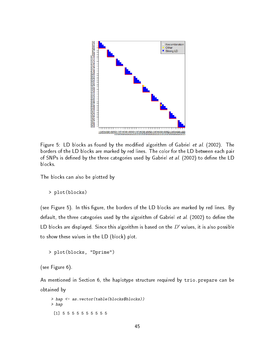

<span id="page-44-0"></span>Figure 5: LD blocks as found by the modified algorithm of [Gabriel](#page-50-4) et al. [\(2002\)](#page-50-4). The borders of the LD blocks are marked by red lines. The color for the LD between each pair of SNPs is defined by the three categories used by [Gabriel](#page-50-4) et al. [\(2002\)](#page-50-4) to define the LD blocks.

The blocks can also be plotted by

> plot(blocks)

(see Figure [5\)](#page-44-0). In this figure, the borders of the LD blocks are marked by red lines. By default, the three categories used by the algorithm of [Gabriel](#page-50-4) et al. [\(2002\)](#page-50-4) to define the LD blocks are displayed. Since this algorithm is based on the  $D^{\prime}$  values, it is also possible to show these values in the LD (block) plot.

```
> plot(blocks, "Dprime")
```
(see Figure [6\)](#page-45-1).

As mentioned in Section [6,](#page-19-0) the haplotype structure required by trio.prepare can be obtained by

> hap <- as.vector(table(blocks\$blocks)) > hap [1] 5 5 5 5 5 5 5 5 5 5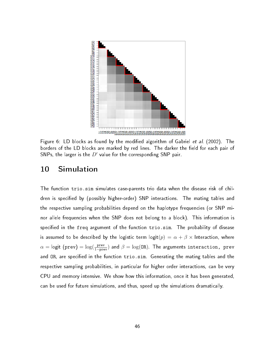

<span id="page-45-1"></span>Figure 6: LD blocks as found by the modified algorithm of [Gabriel](#page-50-4) et al. [\(2002\)](#page-50-4). The borders of the LD blocks are marked by red lines. The darker the field for each pair of SNPs, the larger is the  $D'$  value for the corresponding SNP pair.

### <span id="page-45-0"></span>10 Simulation

The function trio.sim simulates case-parents trio data when the disease risk of children is specified by (possibly higher-order) SNP interactions. The mating tables and the respective sampling probabilities depend on the haplotype frequencies (or SNP minor allele frequencies when the SNP does not belong to a block). This information is specified in the freq argument of the function trio.sim. The probability of disease is assumed to be described by the logistic term logit $(p) = \alpha + \beta \times$  Interaction, where  $\alpha =$  logit (prev)  $= \log(\frac{\text{prev}}{1-\text{prev}})$  and  $\beta = \log(\texttt{OR})$ . The arguments interaction, prev and OR, are specified in the function trio.sim. Generating the mating tables and the respective sampling probabilities, in particular for higher order interactions, can be very CPU and memory intensive. We show how this information, once it has been generated, can be used for future simulations, and thus, speed up the simulations dramatically.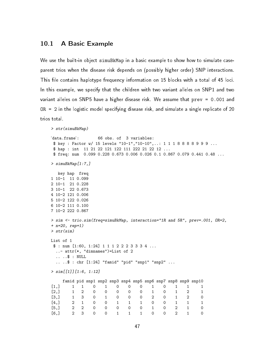#### <span id="page-46-0"></span>10.1 A Basic Example

We use the built-in object simuBkMap in a basic example to show how to simulate caseparent trios when the disease risk depends on (possibly higher order) SNP interactions. This file contains haplotype frequency information on 15 blocks with a total of 45 loci. In this example, we specify that the children with two variant alleles on SNP1 and two variant alleles on SNP5 have a higher disease risk. We assume that prev = 0.001 and OR = 2 in the logistic model specifying disease risk, and simulate a single replicate of 20 trios total.

```
> str(simuBkMap)
'data.frame': 66 obs. of 3 variables:
$ key : Factor w/ 15 levels "10-1","10-10",..: 1 1 1 8 8 8 8 9 9 9 ...
$ hap : int 11 21 22 121 122 111 222 21 22 12 ...
$ freq: num 0.099 0.228 0.673 0.006 0.026 0.1 0.867 0.079 0.441 0.48 ...
> simuBkMap[1:7,]
  key hap freq
1 10-1 11 0.099
2 10-1 21 0.228
3 10-1 22 0.673
4 10-2 121 0.006
5 10-2 122 0.026
6 10-2 111 0.100
7 10-2 222 0.867
> sim <- trio.sim(freq=simuBkMap, interaction="1R and 5R", prev=.001, OR=2,
+ n=20, rep=1)
> str(sim)
List of 1
$ : num [1:60, 1:24] 1 1 1 2 2 2 3 3 3 4 ...
 ..- attr(*, "dimnames")=List of 2
 \ldots \ldots \frac{1}{2} : NULL
  .. ..$ : chr [1:24] "famid" "pid" "snp1" "snp2" ...
> sim[[1]][1:6, 1:12]
    famid pid snp1 snp2 snp3 snp4 snp5 snp6 snp7 snp8 snp9 snp10
[1,] 1 1 0 1 0 0 0 1 0 1 1 1
[2,] 1 2 0 0 0 0 0 1 0 1 2 1
[3,] 1 3 0 1 0 0 0 2 0 1 2 0
[4,] 2 1 0 0 1 1 1 0 0 1 1 1<br>[5,] 2 2 0 0 0 0 0 1 0 2 1 0
[5,] 2 2 0 0 0 0 0 1 0 2 1 0
[6,] 2 3 0 0 1 1 1 0 0 2 1 0
```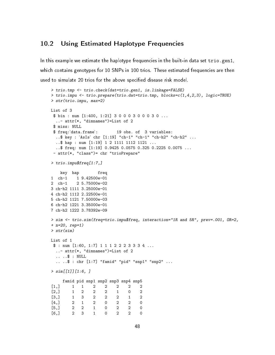#### <span id="page-47-0"></span>10.2 Using Estimated Haplotype Frequencies

In this example we estimate the haplotype frequencies in the built-in data set trio.gen1, which contains genotypes for 10 SNPs in 100 trios. These estimated frequencies are then used to simulate 20 trios for the above specified disease risk model.

```
> trio.tmp <- trio.check(dat=trio.gen1, is.linkage=FALSE)
> trio.impu <- trio.prepare(trio.dat=trio.tmp, blocks=c(1,4,2,3), logic=TRUE)
> str(trio.impu, max=2)
List of 3
 $ bin : num [1:400, 1:21] 3 0 0 0 3 0 0 0 3 0 ...
 ..- attr(*, "dimnames")=List of 2
 $ miss: NULL
 $ freq:'data.frame': 19 obs. of 3 variables:
 ..$ key : 'AsIs' chr [1:19] "ch-1" "ch-1" "ch-h2" "ch-h2" ...
 ..$ hap : num [1:19] 1 2 1111 1112 1121 ...
 ..$ freq: num [1:19] 0.9425 0.0575 0.325 0.2225 0.0075 ...
 - attr(*, "class")= chr "trioPrepare"
> trio.impu$freq[1:7,]
   key hap freq
1 ch-1 1 9.42500e-01
2 ch-1 2 5.75000e-02
3 ch-h2 1111 3.25000e-01
4 ch-h2 1112 2.22500e-01
5 ch-h2 1121 7.50000e-03
6 ch-h2 1221 3.35000e-01
7 ch-h2 1222 3.78392e-09
> sim <- trio.sim(freq=trio.impu$freq, interaction="1R and 5R", prev=.001, OR=2,
+ n=20, rep=1)
> str(sim)
List of 1
 $ : num [1:60, 1:7] 1 1 1 2 2 2 3 3 3 4 ...
 ..- attr(*, "dimnames")=List of 2
 .. ..$ : NULL
  .. ..$ : chr [1:7] "famid" "pid" "snp1" "snp2" ...
> sim[[1]][1:6, ]famid pid snp1 snp2 snp3 snp4 snp5
[1,] 1 1 2 2 2 2 2
[2,] 1 2 2 2 1 0 2
[3,] 1 3 2 2 2 1 2
[4,] 2 1 2 0 2 2 0
[5,] 2 2 1 0 2 2 0
[6,] 2 3 1 0 2 2 0
```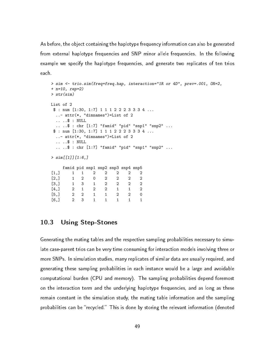As before, the object containing the haplotype frequency information can also be generated from external haplotype frequencies and SNP minor allele frequencies. In the following example we specify the haplotype frequencies, and generate two replicates of ten trios each.

```
> sim <- trio.sim(freq=freq.hap, interaction="1R or 4D", prev=.001, OR=2,
+ n=10, rep=2)
> str(sim)
List of 2
$ : num [1:30, 1:7] 1 1 1 2 2 2 3 3 3 4 .....- attr(*, "dimnames")=List of 2
 \ldots$ : NULL
 .. ..$ : chr [1:7] "famid" "pid" "snp1" "snp2" ...
 \text{\$ : num [1:30, 1:7] 1 1 1 2 2 2 3 3 3 4 ...}..- attr(*, "dimnames")=List of 2
 \ldots$ : NULL
 .. ..$ : chr [1:7] "famid" "pid" "snp1" "snp2" ...
> sim[[1]][1:6]famid pid snp1 snp2 snp3 snp4 snp5
[1,] 1 1 2 2 2 2 2
[2,] 1 2 0 2 2 2 2
[3,] 1 3 1 2 2 2 2
[4,] 2 1 2 2 1 1 2
[5,] 2 2 1 1 2 2 0
[6,] 2 3 1 1 1 1 1
```
#### <span id="page-48-0"></span>10.3 Using Step-Stones

Generating the mating tables and the respective sampling probabilities necessary to simulate case-parent trios can be very time consuming for interaction models involving three or more SNPs. In simulation studies, many replicates of similar data are usually required, and generating these sampling probabilities in each instance would be a large and avoidable computational burden (CPU and memory). The sampling probabilities depend foremost on the interaction term and the underlying haplotype frequencies, and as long as these remain constant in the simulation study, the mating table information and the sampling probabilities can be "recycled." This is done by storing the relevant information (denoted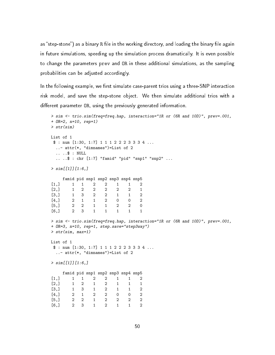as "step-stone") as a binary R file in the working directory, and loading the binary file again in future simulations, speeding up the simulation process dramatically. It is even possible to change the parameters prev and OR in these additional simulations, as the sampling probabilities can be adjusted accordingly.

In the following example, we first simulate case-parent trios using a three-SNP interaction risk model, and save the step-stone object. We then simulate additional trios with a different parameter OR, using the previously generated information.

```
> sim <- trio.sim(freq=freq.hap, interaction="1R or (6R and 10D)", prev=.001,
+ OR=2, n=10, rep=1)
> str(sim)
List of 1
$ : num [1:30, 1:7] 1 1 1 2 2 2 3 3 3 4 ...
 ..- attr(*, "dimnames")=List of 2
 .. ..$ : NULL
 .. ..$ : chr [1:7] "famid" "pid" "snp1" "snp2" ...
> sim[[1]][1:6]famid pid snp1 snp2 snp3 snp4 snp5
[1,] 1 1 2 2 1 1 2
[2,] 1 2 2 2 2 2 1
[3,] 1 3 2 2 1 1 2
[4,] 2 1 1 2 0 0 2
[5,] 2 2 1 1 2 2 0
[6,] 2 3 1 1 1 1 1
> sim <- trio.sim(freq=freq.hap, interaction="1R or (6R and 10D)", prev=.001,
+ OR=3, n=10, rep=1, step.save="step3way")
> str(sim, max=1)List of 1
$ : num [1:30, 1:7] 1 1 1 2 2 2 3 3 3 4 .....- attr(*, "dimnames")=List of 2
> sim[[1]][1:6]famid pid snp1 snp2 snp3 snp4 snp5
[1,] 1 1 2 2 1 1 2
[2,] 1 2 1 2 1 1 1
[3,] 1 3 1 2 1 1 2
[4,] 2 1 2 2 0 0 2
[5,] 2 2 1 2 2 2 2
[6,] 2 3 1 2 1 1 2
```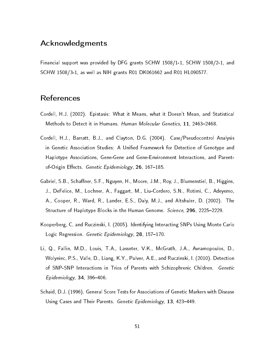### Acknowledgments

Financial support was provided by DFG grants SCHW 1508/1-1, SCHW 1508/2-1, and SCHW 1508/3-1, as well as NIH grants R01 DK061662 and R01 HL090577.

### **References**

- <span id="page-50-1"></span>Cordell, H.J. (2002). Epistasis: What it Means, what it Doesn't Mean, and Statistical Methods to Detect it in Humans. *Human Molecular Genetics*, 11, 2463–2468.
- <span id="page-50-2"></span>Cordell, H.J., Barratt, B.J., and Clayton, D.G. (2004). Case/Pseudocontrol Analysis in Genetic Association Studies: A Unified Framework for Detection of Genotype and Haplotype Associations, Gene-Gene and Gene-Environment Interactions, and Parentof-Origin Effects. Genetic Epidemiology, 26, 167-185.
- <span id="page-50-4"></span>Gabriel, S.B., Schaffner, S.F., Nguyen, H., Moore, J.M., Roy, J., Blumenstiel, B., Higgins, J., DeFelice, M., Lochner, A., Faggart, M., Liu-Cordero, S.N., Rotimi, C., Adeyemo, A., Cooper, R., Ward, R., Lander, E.S., Daly, M.J., and Altshuler, D. (2002). The Structure of Haplotype Blocks in the Human Genome. Science, 296, 2225–2229.
- <span id="page-50-5"></span>Kooperberg, C. and Ruczinski, I. (2005). Identifying Interacting SNPs Using Monte Carlo Logic Regression. Genetic Epidemiology, 28, 157-170.
- <span id="page-50-3"></span>Li, Q., Fallin, M.D., Louis, T.A., Lasseter, V.K., McGrath, J.A., Avramopoulos, D., Wolyniec, P.S., Valle, D., Liang, K.Y., Pulver, A.E., and Ruczinski, I. (2010). Detection of SNP-SNP Interactions in Trios of Parents with Schizophrenic Children. Genetic  $Epidemiology, 34, 396-406.$
- <span id="page-50-0"></span>Schaid, D.J. (1996). General Score Tests for Associations of Genetic Markers with Disease Using Cases and Their Parents. Genetic Epidemiology, 13, 423–449.